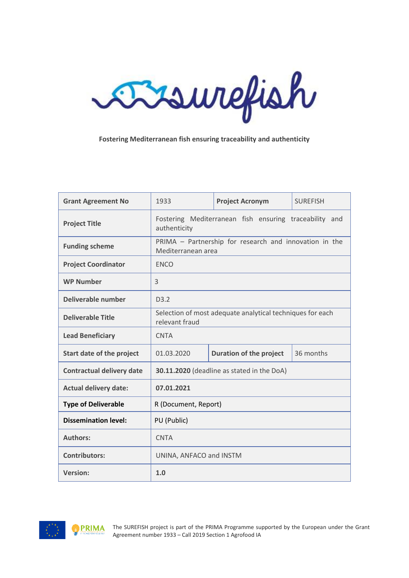Essurefish

**Fostering Mediterranean fish ensuring traceability and authenticity**

| <b>Grant Agreement No</b>        | 1933<br><b>Project Acronym</b>                                              |                                                        | <b>SURFFISH</b> |  |  |
|----------------------------------|-----------------------------------------------------------------------------|--------------------------------------------------------|-----------------|--|--|
| <b>Project Title</b>             | Fostering Mediterranean fish ensuring traceability and<br>authenticity      |                                                        |                 |  |  |
| <b>Funding scheme</b>            | Mediterranean area                                                          | PRIMA - Partnership for research and innovation in the |                 |  |  |
| <b>Project Coordinator</b>       | <b>ENCO</b>                                                                 |                                                        |                 |  |  |
| <b>WP Number</b>                 | 3                                                                           |                                                        |                 |  |  |
| Deliverable number               | D3.2                                                                        |                                                        |                 |  |  |
| <b>Deliverable Title</b>         | Selection of most adequate analytical techniques for each<br>relevant fraud |                                                        |                 |  |  |
| <b>Lead Beneficiary</b>          | <b>CNTA</b>                                                                 |                                                        |                 |  |  |
| Start date of the project        | 01.03.2020                                                                  | <b>Duration of the project</b>                         | 36 months       |  |  |
| <b>Contractual delivery date</b> |                                                                             | 30.11.2020 (deadline as stated in the DoA)             |                 |  |  |
| <b>Actual delivery date:</b>     | 07.01.2021                                                                  |                                                        |                 |  |  |
| <b>Type of Deliverable</b>       | R (Document, Report)                                                        |                                                        |                 |  |  |
| <b>Dissemination level:</b>      | PU (Public)                                                                 |                                                        |                 |  |  |
| <b>Authors:</b>                  | <b>CNTA</b>                                                                 |                                                        |                 |  |  |
| <b>Contributors:</b>             | UNINA, ANFACO and INSTM                                                     |                                                        |                 |  |  |
| <b>Version:</b>                  | 1.0                                                                         |                                                        |                 |  |  |

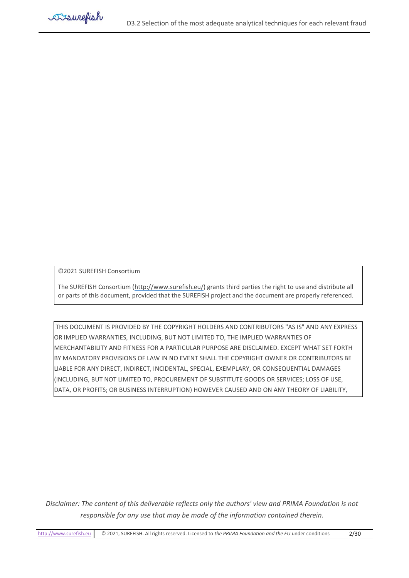

©2021 SUREFISH Consortium

The SUREFISH Consortium [\(http://www.surefish.eu/\)](http://www.surefish.eu/) grants third parties the right to use and distribute all or parts of this document, provided that the SUREFISH project and the document are properly referenced.

THIS DOCUMENT IS PROVIDED BY THE COPYRIGHT HOLDERS AND CONTRIBUTORS "AS IS" AND ANY EXPRESS OR IMPLIED WARRANTIES, INCLUDING, BUT NOT LIMITED TO, THE IMPLIED WARRANTIES OF MERCHANTABILITY AND FITNESS FOR A PARTICULAR PURPOSE ARE DISCLAIMED. EXCEPT WHAT SET FORTH BY MANDATORY PROVISIONS OF LAW IN NO EVENT SHALL THE COPYRIGHT OWNER OR CONTRIBUTORS BE LIABLE FOR ANY DIRECT, INDIRECT, INCIDENTAL, SPECIAL, EXEMPLARY, OR CONSEQUENTIAL DAMAGES (INCLUDING, BUT NOT LIMITED TO, PROCUREMENT OF SUBSTITUTE GOODS OR SERVICES; LOSS OF USE, DATA, OR PROFITS; OR BUSINESS INTERRUPTION) HOWEVER CAUSED AND ON ANY THEORY OF LIABILITY,

*Disclaimer: The content of this deliverable reflects only the authors' view and PRIMA Foundation is not responsible for any use that may be made of the information contained therein.*

[http://www.surefish.eu](http://www.surefish.eu/) © 2021, SUREFISH. All rights reserved. Licensed to *the PRIMA Foundation and the EU* under conditions 2/30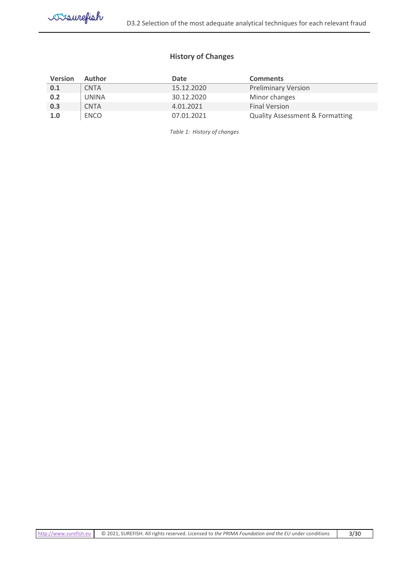# **History of Changes**

<span id="page-2-0"></span>

| <b>Version</b> | <b>Author</b> | Date       | <b>Comments</b>                            |
|----------------|---------------|------------|--------------------------------------------|
| 0.1            | <b>CNTA</b>   | 15.12.2020 | <b>Preliminary Version</b>                 |
| 0.2            | <b>UNINA</b>  | 30.12.2020 | Minor changes                              |
| 0.3            | <b>CNTA</b>   | 4.01.2021  | Final Version                              |
| 1.0            | ENCO          | 07.01.2021 | <b>Quality Assessment &amp; Formatting</b> |

*Table 1: History of changes*

|  | http://www.surefish.eu   © 2021, SUREFISH. All rights reserved. Licensed to the PRIMA Foundation and the EU under conditions | 3/30 |
|--|------------------------------------------------------------------------------------------------------------------------------|------|
|--|------------------------------------------------------------------------------------------------------------------------------|------|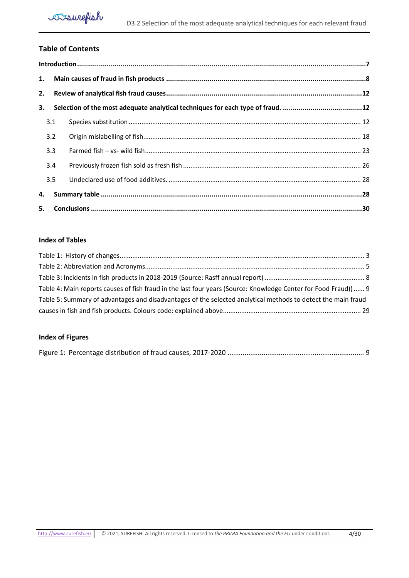# **Table of Contents**

| 1. |     |  |
|----|-----|--|
| 2. |     |  |
| 3. |     |  |
|    | 3.1 |  |
|    | 3.2 |  |
|    | 3.3 |  |
|    | 3.4 |  |
|    | 3.5 |  |
| 4. |     |  |
| 5. |     |  |

# **Index of Tables**

| Table 4: Main reports causes of fish fraud in the last four years (Source: Knowledge Center for Food Fraud))  9 |  |
|-----------------------------------------------------------------------------------------------------------------|--|
| Table 5: Summary of advantages and disadvantages of the selected analytical methods to detect the main fraud    |  |
|                                                                                                                 |  |

# **Index of Figures**

|--|--|--|--|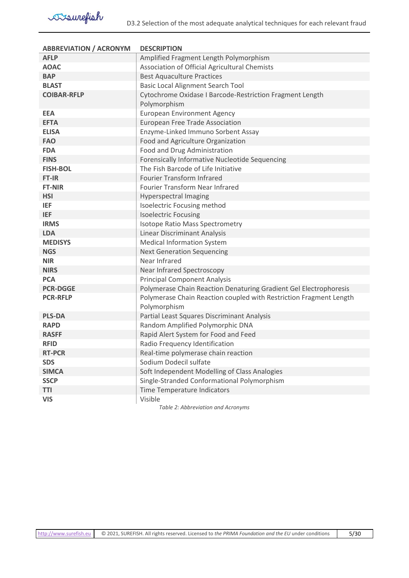| <b>ABBREVIATION / ACRONYM</b> | <b>DESCRIPTION</b>                                                 |
|-------------------------------|--------------------------------------------------------------------|
| <b>AFLP</b>                   | Amplified Fragment Length Polymorphism                             |
| <b>AOAC</b>                   | Association of Official Agricultural Chemists                      |
| <b>BAP</b>                    | <b>Best Aquaculture Practices</b>                                  |
| <b>BLAST</b>                  | <b>Basic Local Alignment Search Tool</b>                           |
| <b>COIBAR-RFLP</b>            | Cytochrome Oxidase I Barcode-Restriction Fragment Length           |
|                               | Polymorphism                                                       |
| <b>EEA</b>                    | <b>European Environment Agency</b>                                 |
| <b>EFTA</b>                   | <b>European Free Trade Association</b>                             |
| <b>ELISA</b>                  | Enzyme-Linked Immuno Sorbent Assay                                 |
| <b>FAO</b>                    | Food and Agriculture Organization                                  |
| <b>FDA</b>                    | Food and Drug Administration                                       |
| <b>FINS</b>                   | Forensically Informative Nucleotide Sequencing                     |
| <b>FISH-BOL</b>               | The Fish Barcode of Life Initiative                                |
| FT-IR                         | <b>Fourier Transform Infrared</b>                                  |
| <b>FT-NIR</b>                 | <b>Fourier Transform Near Infrared</b>                             |
| <b>HSI</b>                    | <b>Hyperspectral Imaging</b>                                       |
| <b>IEF</b>                    | <b>Isoelectric Focusing method</b>                                 |
| <b>IEF</b>                    | <b>Isoelectric Focusing</b>                                        |
| <b>IRMS</b>                   | <b>Isotope Ratio Mass Spectrometry</b>                             |
| <b>LDA</b>                    | Linear Discriminant Analysis                                       |
| <b>MEDISYS</b>                | <b>Medical Information System</b>                                  |
| <b>NGS</b>                    | <b>Next Generation Sequencing</b>                                  |
| <b>NIR</b>                    | Near Infrared                                                      |
| <b>NIRS</b>                   | Near Infrared Spectroscopy                                         |
| <b>PCA</b>                    | <b>Principal Component Analysis</b>                                |
| <b>PCR-DGGE</b>               | Polymerase Chain Reaction Denaturing Gradient Gel Electrophoresis  |
| <b>PCR-RFLP</b>               | Polymerase Chain Reaction coupled with Restriction Fragment Length |
|                               | Polymorphism                                                       |
| <b>PLS-DA</b>                 | Partial Least Squares Discriminant Analysis                        |
| <b>RAPD</b>                   | Random Amplified Polymorphic DNA                                   |
| <b>RASFF</b>                  | Rapid Alert System for Food and Feed                               |
| <b>RFID</b>                   | Radio Frequency Identification                                     |
| <b>RT-PCR</b>                 | Real-time polymerase chain reaction                                |
| <b>SDS</b>                    | Sodium Dodecil sulfate                                             |
| <b>SIMCA</b>                  | Soft Independent Modelling of Class Analogies                      |
| <b>SSCP</b>                   | Single-Stranded Conformational Polymorphism                        |
| <b>TTI</b>                    | Time Temperature Indicators                                        |
| <b>VIS</b>                    | Visible                                                            |

<span id="page-4-0"></span>*Table 2: Abbreviation and Acronyms*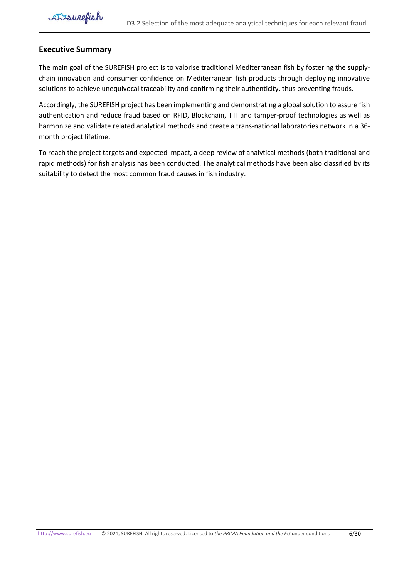# **Executive Summary**

The main goal of the SUREFISH project is to valorise traditional Mediterranean fish by fostering the supplychain innovation and consumer confidence on Mediterranean fish products through deploying innovative solutions to achieve unequivocal traceability and confirming their authenticity, thus preventing frauds.

Accordingly, the SUREFISH project has been implementing and demonstrating a global solution to assure fish authentication and reduce fraud based on RFID, Blockchain, TTI and tamper-proof technologies as well as harmonize and validate related analytical methods and create a trans-national laboratories network in a 36 month project lifetime.

To reach the project targets and expected impact, a deep review of analytical methods (both traditional and rapid methods) for fish analysis has been conducted. The analytical methods have been also classified by its suitability to detect the most common fraud causes in fish industry.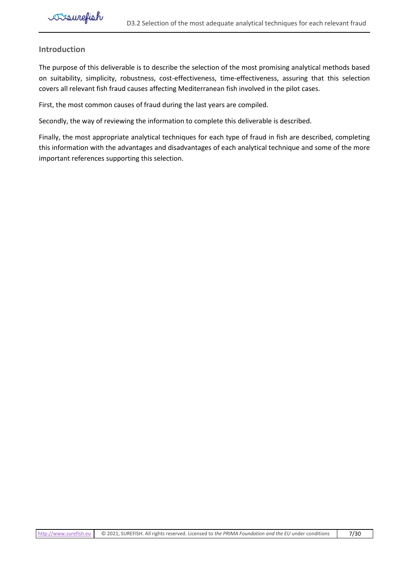# <span id="page-6-0"></span>**Introduction**

The purpose of this deliverable is to describe the selection of the most promising analytical methods based on suitability, simplicity, robustness, cost-effectiveness, time-effectiveness, assuring that this selection covers all relevant fish fraud causes affecting Mediterranean fish involved in the pilot cases.

First, the most common causes of fraud during the last years are compiled.

Secondly, the way of reviewing the information to complete this deliverable is described.

Finally, the most appropriate analytical techniques for each type of fraud in fish are described, completing this information with the advantages and disadvantages of each analytical technique and some of the more important references supporting this selection.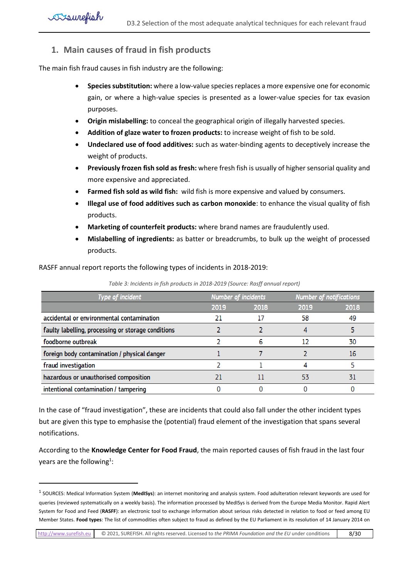# <span id="page-7-0"></span>**1. Main causes of fraud in fish products**

The main fish fraud causes in fish industry are the following:

- **Species substitution:** where a low-value species replaces a more expensive one for economic gain, or where a high-value species is presented as a lower-value species for tax evasion purposes.
- **Origin mislabelling:** to conceal the geographical origin of illegally harvested species.
- **Addition of glaze water to frozen products:** to increase weight of fish to be sold.
- **Undeclared use of food additives:** such as water-binding agents to deceptively increase the weight of products.
- **Previously frozen fish sold as fresh:** where fresh fish is usually of higher sensorial quality and more expensive and appreciated.
- **Farmed fish sold as wild fish:** wild fish is more expensive and valued by consumers.
- **Illegal use of food additives such as carbon monoxide**: to enhance the visual quality of fish products.
- **Marketing of counterfeit products:** where brand names are fraudulently used.
- **Mislabelling of ingredients:** as batter or breadcrumbs, to bulk up the weight of processed products.

RASFF annual report reports the following types of incidents in 2018-2019:

<span id="page-7-1"></span>

| <b>Type of incident</b>                            |      | <b>Number of incidents</b> |      | <b>Number of notifications</b> |
|----------------------------------------------------|------|----------------------------|------|--------------------------------|
|                                                    | 2019 | 2018                       | 2019 | 2018                           |
| accidental or environmental contamination          |      |                            | 58   | 49                             |
| faulty labelling, processing or storage conditions |      |                            |      |                                |
| foodborne outbreak                                 |      |                            |      | 30                             |
| foreign body contamination / physical danger       |      |                            |      | 16                             |
| fraud investigation                                |      |                            |      |                                |
| hazardous or unauthorised composition              |      |                            |      |                                |
| intentional contamination / tampering              |      |                            |      |                                |

*Table 3: Incidents in fish products in 2018-2019 (Source: Rasff annual report)*

In the case of "fraud investigation", these are incidents that could also fall under the other incident types but are given this type to emphasise the (potential) fraud element of the investigation that spans several notifications.

According to the **Knowledge Center for Food Fraud**, the main reported causes of fish fraud in the last four years are the following<sup>1</sup>:

[http://www.surefish.eu](http://www.surefish.eu/) © 2021, SUREFISH. All rights reserved. Licensed to *the PRIMA Foundation and the EU* under conditions 8/30

<sup>1</sup> SOURCES: Medical Information System (**MedISys**): an internet monitoring and analysis system. Food adulteration relevant keywords are used for queries (reviewed systematically on a weekly basis). The information processed by MedISys is derived from the Europe Media Monitor. Rapid Alert System for Food and Feed (**RASFF**): an electronic tool to exchange information about serious risks detected in relation to food or feed among EU Member States. **Food types**: The list of commodities often subject to fraud as defined by the EU Parliament in its resolution of 14 January 2014 on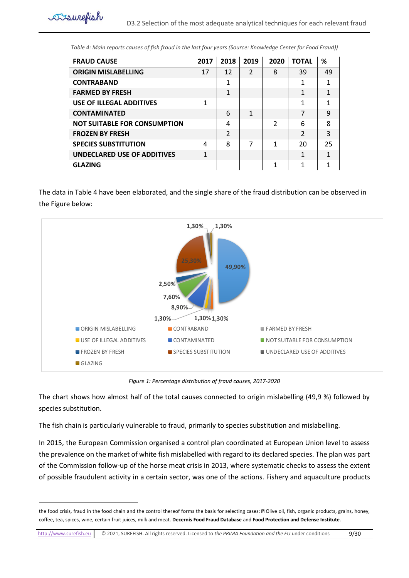<span id="page-8-0"></span>*Table 4: Main reports causes of fish fraud in the last four years (Source: Knowledge Center for Food Fraud))*

| <b>FRAUD CAUSE</b>                  | 2017 | 2018                     | 2019                     | 2020          | <b>TOTAL</b>   | %  |
|-------------------------------------|------|--------------------------|--------------------------|---------------|----------------|----|
| <b>ORIGIN MISLABELLING</b>          | 17   | 12                       | $\overline{\phantom{a}}$ | 8             | 39             | 49 |
| <b>CONTRABAND</b>                   |      | 1                        |                          |               | 1              |    |
| <b>FARMED BY FRESH</b>              |      | 1                        |                          |               | 1              |    |
| <b>USE OF ILLEGAL ADDITIVES</b>     | 1    |                          |                          |               | 1              |    |
| <b>CONTAMINATED</b>                 |      | 6                        | 1                        |               | $\overline{7}$ | q  |
| <b>NOT SUITABLE FOR CONSUMPTION</b> |      | 4                        |                          | $\mathcal{P}$ | 6              | 8  |
| <b>FROZEN BY FRESH</b>              |      | $\overline{\phantom{a}}$ |                          |               | $\mathfrak{D}$ | 3  |
| <b>SPECIES SUBSTITUTION</b>         | 4    | 8                        | 7                        | 1             | 20             | 25 |
| <b>UNDECLARED USE OF ADDITIVES</b>  | 1    |                          |                          |               | 1              |    |
| <b>GLAZING</b>                      |      |                          |                          |               | 1              |    |

The data in Table 4 have been elaborated, and the single share of the fraud distribution can be observed in the Figure below:



*Figure 1: Percentage distribution of fraud causes, 2017-2020*

<span id="page-8-1"></span>The chart shows how almost half of the total causes connected to origin mislabelling (49,9 %) followed by species substitution.

The fish chain is particularly vulnerable to fraud, primarily to species substitution and mislabelling.

In 2015, the European Commission organised a control plan coordinated at European Union level to assess the prevalence on the market of white fish mislabelled with regard to its declared species. The plan was part of the Commission follow-up of the horse meat crisis in 2013, where systematic checks to assess the extent of possible fraudulent activity in a certain sector, was one of the actions. Fishery and aquaculture products

the food crisis, fraud in the food chain and the control thereof forms the basis for selecting cases: [2] Olive oil, fish, organic products, grains, honey, coffee, tea, spices, wine, certain fruit juices, milk and meat. **Decernis Food Fraud Database** and **Food Protection and Defense Institute**.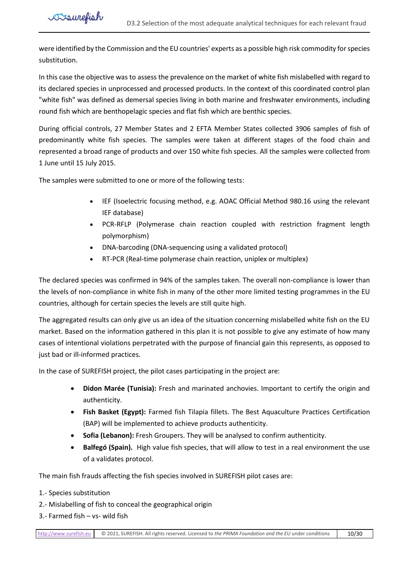were identified by the Commission and the EU countries' experts as a possible high risk commodity for species substitution.

In this case the objective was to assess the prevalence on the market of white fish mislabelled with regard to its declared species in unprocessed and processed products. In the context of this coordinated control plan "white fish" was defined as demersal species living in both marine and freshwater environments, including round fish which are benthopelagic species and flat fish which are benthic species.

During official controls, 27 Member States and 2 EFTA Member States collected 3906 samples of fish of predominantly white fish species. The samples were taken at different stages of the food chain and represented a broad range of products and over 150 white fish species. All the samples were collected from 1 June until 15 July 2015.

The samples were submitted to one or more of the following tests:

- IEF (Isoelectric focusing method, e.g. AOAC Official Method 980.16 using the relevant IEF database)
- PCR-RFLP (Polymerase chain reaction coupled with restriction fragment length polymorphism)
- DNA-barcoding (DNA-sequencing using a validated protocol)
- RT-PCR (Real-time polymerase chain reaction, uniplex or multiplex)

The declared species was confirmed in 94% of the samples taken. The overall non-compliance is lower than the levels of non-compliance in white fish in many of the other more limited testing programmes in the EU countries, although for certain species the levels are still quite high.

The aggregated results can only give us an idea of the situation concerning mislabelled white fish on the EU market. Based on the information gathered in this plan it is not possible to give any estimate of how many cases of intentional violations perpetrated with the purpose of financial gain this represents, as opposed to just bad or ill-informed practices.

In the case of SUREFISH project, the pilot cases participating in the project are:

- **Didon Marée (Tunisia):** Fresh and marinated anchovies. Important to certify the origin and authenticity.
- **Fish Basket (Egypt):** Farmed fish Tilapia fillets. The Best Aquaculture Practices Certification (BAP) will be implemented to achieve products authenticity.
- **Sofia (Lebanon):** Fresh Groupers. They will be analysed to confirm authenticity.
- **Balfegó (Spain).** High value fish species, that will allow to test in a real environment the use of a validates protocol.

The main fish frauds affecting the fish species involved in SUREFISH pilot cases are:

- 1.- Species substitution
- 2.- Mislabelling of fish to conceal the geographical origin
- 3.- Farmed fish vs- wild fish

[http://www.surefish.eu](http://www.surefish.eu/) © 2021, SUREFISH. All rights reserved. Licensed to *the PRIMA Foundation and the EU* under conditions 10/30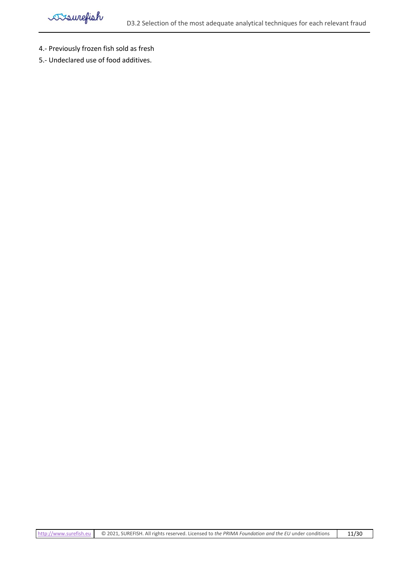- 4.- Previously frozen fish sold as fresh
- 5.- Undeclared use of food additives.

|  | http://www.surefish.eu © 2021, SUREFISH. All rights reserved. Licensed to the PRIMA Foundation and the EU under conditions | 11/30 |
|--|----------------------------------------------------------------------------------------------------------------------------|-------|
|--|----------------------------------------------------------------------------------------------------------------------------|-------|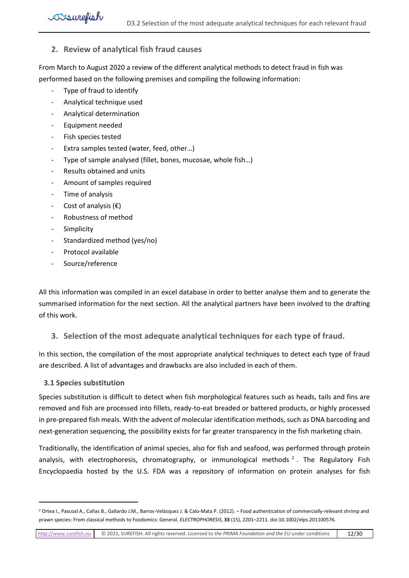# <span id="page-11-0"></span>**2. Review of analytical fish fraud causes**

From March to August 2020 a review of the different analytical methods to detect fraud in fish was performed based on the following premises and compiling the following information:

- Type of fraud to identify
- Analytical technique used
- Analytical determination
- Equipment needed

Eisurefish

- Fish species tested
- Extra samples tested (water, feed, other...)
- Type of sample analysed (fillet, bones, mucosae, whole fish...)
- Results obtained and units
- Amount of samples required
- Time of analysis
- Cost of analysis  $(\epsilon)$
- Robustness of method
- Simplicity
- Standardized method (yes/no)
- Protocol available
- Source/reference

All this information was compiled in an excel database in order to better analyse them and to generate the summarised information for the next section. All the analytical partners have been involved to the drafting of this work.

# <span id="page-11-1"></span>**3. Selection of the most adequate analytical techniques for each type of fraud.**

In this section, the compilation of the most appropriate analytical techniques to detect each type of fraud are described. A list of advantages and drawbacks are also included in each of them.

# <span id="page-11-2"></span>**3.1 Species substitution**

Species substitution is difficult to detect when fish morphological features such as heads, tails and fins are removed and fish are processed into fillets, ready-to-eat breaded or battered products, or highly processed in pre-prepared fish meals. With the advent of molecular identification methods, such as DNA barcoding and next-generation sequencing, the possibility exists for far greater transparency in the fish marketing chain.

Traditionally, the identification of animal species, also for fish and seafood, was performed through protein analysis, with electrophoresis, chromatography, or immunological methods  $2$ . The Regulatory Fish Encyclopaedia hosted by the U.S. FDA was a repository of information on protein analyses for fish

<sup>2</sup> Ortea I., Pascoal A., Cañas B., Gallardo J.M., Barros-Velázquez J. & Calo-Mata P. (2012). – Food authentication of commercially-relevant shrimp and prawn species: From classical methods to Foodomics: General. *ELECTROPHORESIS*, **33** (15), 2201–2211. doi:10.1002/elps.201100576.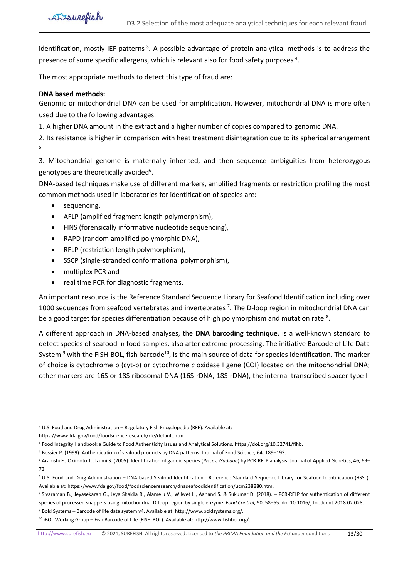identification, mostly IEF patterns<sup>3</sup>. A possible advantage of protein analytical methods is to address the presence of some specific allergens, which is relevant also for food safety purposes <sup>4</sup>.

The most appropriate methods to detect this type of fraud are:

### **DNA based methods:**

Eisurefish

Genomic or mitochondrial DNA can be used for amplification. However, mitochondrial DNA is more often used due to the following advantages:

1. A higher DNA amount in the extract and a higher number of copies compared to genomic DNA.

2. Its resistance is higher in comparison with heat treatment disintegration due to its spherical arrangement 5 .

3. Mitochondrial genome is maternally inherited, and then sequence ambiguities from heterozygous genotypes are theoretically avoided<sup>6</sup>.

DNA-based techniques make use of different markers, amplified fragments or restriction profiling the most common methods used in laboratories for identification of species are:

- sequencing,
- AFLP (amplified fragment length polymorphism),
- FINS (forensically informative nucleotide sequencing),
- RAPD (random amplified polymorphic DNA),
- RFLP (restriction length polymorphism),
- SSCP (single-stranded conformational polymorphism),
- multiplex PCR and
- real time PCR for diagnostic fragments.

An important resource is the Reference Standard Sequence Library for Seafood Identification including over 1000 sequences from seafood vertebrates and invertebrates <sup>7</sup>. The D-loop region in mitochondrial DNA can be a good target for species differentiation because of high polymorphism and mutation rate <sup>8</sup>.

A different approach in DNA-based analyses, the **DNA barcoding technique**, is a well-known standard to detect species of seafood in food samples, also after extreme processing. The initiative Barcode of Life Data System <sup>9</sup> with the FISH-BOL, fish barcode<sup>10</sup>, is the main source of data for species identification. The marker of choice is cytochrome b (cyt-b) or cytochrome *c* oxidase I gene (COI) located on the mitochondrial DNA; other markers are 16S or 18S ribosomal DNA (16S-rDNA, 18S-rDNA), the internal transcribed spacer type I-

<sup>9</sup> Bold Systems – Barcode of life data system v4. Available at: http://www.boldsystems.org/. <sup>10</sup> iBOL Working Group – Fish Barcode of Life (FISH-BOL). Available at: http://www.fishbol.org/.

[http://www.surefish.eu](http://www.surefish.eu/) © 2021, SUREFISH. All rights reserved. Licensed to *the PRIMA Foundation and the EU* under conditions 13/30

<sup>&</sup>lt;sup>3</sup> U.S. Food and Drug Administration – Regulatory Fish Encyclopedia (RFE). Available at:

https://www.fda.gov/food/foodscienceresearch/rfe/default.htm.

<sup>4</sup> Food Integrity Handbook a Guide to Food Authenticity Issues and Analytical Solutions. https://doi.org/10.32741/fihb.

<sup>5</sup> Bossier P. (1999): Authentication of seafood products by DNA patterns. Journal of Food Science, 64, 189–193.

<sup>6</sup> Aranishi F., Okimoto T., Izumi S. (2005): Identification of gadoid species (*Pisces, Gadidae*) by PCR-RFLP analysis. Journal of Applied Genetics, 46, 69– 73.

<sup>7</sup> U.S. Food and Drug Administration – DNA-based Seafood Identification - Reference Standard Sequence Library for Seafood Identification (RSSL). Available at: https://www.fda.gov/food/foodscienceresearch/dnaseafoodidentification/ucm238880.htm.

<sup>8</sup> Sivaraman B., Jeyasekaran G., Jeya Shakila R., Alamelu V., Wilwet L., Aanand S. & Sukumar D. (2018). – PCR-RFLP for authentication of different species of processed snappers using mitochondrial D-loop region by single enzyme. *Food Control*, 90, 58–65. doi:10.1016/j.foodcont.2018.02.028.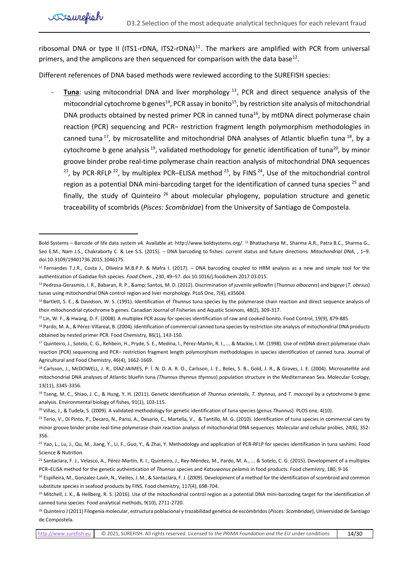ribosomal DNA or type II (ITS1-rDNA, ITS2-rDNA)<sup>11</sup>. The markers are amplified with PCR from universal primers, and the amplicons are then sequenced for comparison with the data base<sup>12</sup>.

Different references of DNA based methods were reviewed according to the SUREFISH species:

Eisurefish

**Tuna**: using mitocondrial DNA and liver morphology <sup>13</sup>, PCR and direct sequence analysis of the mitocondrial cytochrome b genes<sup>14</sup>, PCR assay in bonito<sup>15</sup>, by restriction site analysis of mitochondrial DNA products obtained by nested primer PCR in canned tuna<sup>16</sup>, by mtDNA direct polymerase chain reaction (PCR) sequencing and PCR− restriction fragment length polymorphism methodologies in canned tuna<sup>17</sup>, by microsatellite and mitochondrial DNA analyses of Atlantic bluefin tuna<sup>18</sup>, by a cytochrome b gene analysis<sup>19</sup>, validated methodology for genetic identification of tuna<sup>20</sup>, by minor groove binder probe real-time polymerase chain reaction analysis of mitochondrial DNA sequences <sup>21</sup>, by PCR-RFLP<sup>22</sup>, by multiplex PCR–ELISA method  $^{23}$ , by FINS  $^{24}$ , Use of the mitochondrial control region as a potential DNA mini-barcoding target for the identification of canned tuna species <sup>25</sup> and finally, the study of Quinteiro<sup>26</sup> about molecular phylogeny, population structure and genetic traceability of scombrids (*Pisces: Scombridae*) from the University of Santiago de Compostela.

<sup>19</sup> Tseng, M. C., Shiao, J. C., & Hung, Y. H. (2011). Genetic identification of *Thunnus orientalis*, *T. thynnus*, and *T. maccoyii* by a cytochrome b gene analysis. Environmental biology of fishes, 91(1), 103-115.

<sup>20</sup> Viñas, J., & Tudela, S. (2009). A validated methodology for genetic identification of tuna species (genus *Thunnus*). PLOS one, 4(10).

Bold Systems – Barcode of life data system v4. Available at: http://www.boldsystems.org/. <sup>11</sup> Bhattacharya M., Sharma A.R., Patra B.C., Sharma G., Seo E.M., Nam J.S., Chakraborty C. & Lee S.S. (2015). – DNA barcoding to fishes: current status and future directions. *Mitochondrial DNA*, , 1–9. doi:10.3109/19401736.2015.1046175.

<sup>&</sup>lt;sup>12</sup> Fernandes T.J.R., Costa J., Oliveira M.B.P.P. & Mafra I. (2017). - DNA barcoding coupled to HRM analysis as a new and simple tool for the authentication of Gadidae fish species. *Food Chem.*, 230, 49–57. doi:10.1016/j.foodchem.2017.03.015.

<sup>13</sup> Pedrosa-Gerasmio, I. R., Babaran, R. P., & amp; Santos, M. D. (2012). Discrimination of juvenile yellowfin (Thunnus albacares) and bigeye (T. obesus) tunas using mitochondrial DNA control region and liver morphology. PLoS One, 7(4), e35604.

<sup>14</sup> Bartlett, S. E., & Davidson, W. S. (1991). Identification of *Thunnus* tuna species by the polymerase chain reaction and direct sequence analysis of their mitochondrial cytochrome b genes. Canadian Journal of Fisheries and Aquatic Sciences, 48(2), 309-317.

<sup>&</sup>lt;sup>15</sup> Lin, W. F., & Hwang, D. F. (2008). A multiplex PCR assay for species identification of raw and cooked bonito. Food Control, 19(9), 879-885.

<sup>&</sup>lt;sup>16</sup> Pardo, M. A., & Pérez-Villareal, B. (2004). Identification of commercial canned tuna species by restriction site analysis of mitochondrial DNA products obtained by nested primer PCR. Food Chemistry, 86(1), 143-150.

<sup>&</sup>lt;sup>17</sup> Quinteiro, J., Sotelo, C. G., Rehbein, H., Pryde, S. E., Medina, I., Pérez-Martín, R. I., ... & Mackie, I. M. (1998). Use of mtDNA direct polymerase chain reaction (PCR) sequencing and PCR− restriction fragment length polymorphism methodologies in species identification of canned tuna. Journal of Agricultural and Food Chemistry, 46(4), 1662-1669.

<sup>18</sup> Carlsson, J., McDOWELL, J. R., DÍAZ-JAIMES, P. Í. N. D. A. R. O., Carlsson, J. E., Boles, S. B., Gold, J. R., & Graves, J. E. (2004). Microsatellite and mitochondrial DNA analyses of Atlantic bluefin tuna *(Thunnus thynnus thynnus*) population structure in the Mediterranean Sea. Molecular Ecology, 13(11), 3345-3356.

<sup>&</sup>lt;sup>21</sup> Terio, V., Di Pinto, P., Decaro, N., Parisi, A., Desario, C., Martella, V., & Tantillo, M. G. (2010). Identification of tuna species in commercial cans by minor groove binder probe real-time polymerase chain reaction analysis of mitochondrial DNA sequences. Molecular and cellular probes, 24(6), 352- 356.

<sup>&</sup>lt;sup>22</sup> Yao, L., Lu, J., Qu, M., Jiang, Y., Li, F., Guo, Y., & Zhai, Y. Methodology and application of PCR-RFLP for species identification in tuna sashimi. Food Science & Nutrition.

<sup>&</sup>lt;sup>23</sup> Santaclara, F. J., Velasco, A., Pérez-Martín, R. I., Quinteiro, J., Rey-Méndez, M., Pardo, M. A., ... & Sotelo, C. G. (2015). Development of a multiplex PCR–ELISA method for the genetic authentication of *Thunnus* species and *Katsuwonus pelamis* in food products. Food chemistry, 180, 9-16

<sup>&</sup>lt;sup>24</sup> Espiñeira, M., Gonzalez-Lavín, N., Vieites, J. M., & Santaclara, F. J. (2009). Development of a method for the identification of scombroid and common substitute species in seafood products by FINS. Food chemistry, 117(4), 698-704.

<sup>&</sup>lt;sup>25</sup> Mitchell, J. K., & Hellberg, R. S. (2016). Use of the mitochondrial control region as a potential DNA mini-barcoding target for the identification of canned tuna species. Food analytical methods, 9(10), 2711-2720.

<sup>26</sup> Quinteiro J (2011) Filogenia molecular, estructura poblacional y trazabilidad genética de escómbridos (*Pisces: Scombridae*), Universidad de Santiago de Compostela.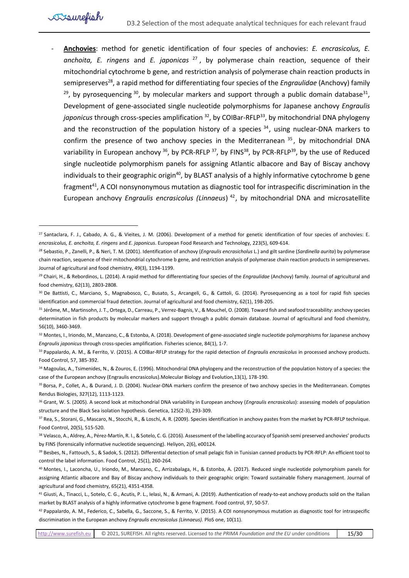- **Anchovies**: method for genetic identification of four species of anchovies: *E. encrasicolus, E. anchoita, E. ringens* and *E. japonicas* <sup>27</sup> , by polymerase chain reaction, sequence of their mitochondrial cytochrome b gene, and restriction analysis of polymerase chain reaction products in semipreserves<sup>28</sup>, a rapid method for differentiating four species of the *Engraulidae* (Anchovy) family  $29$ , by pyrosequencing  $30$ , by molecular markers and support through a public domain database $31$ , Development of gene-associated single nucleotide polymorphisms for Japanese anchovy *Engraulis japonicus* through cross-species amplification <sup>32</sup>, by COIBar-RFLP<sup>33</sup>, by mitochondrial DNA phylogeny and the reconstruction of the population history of a species  $34$ , using nuclear-DNA markers to confirm the presence of two anchovy species in the Mediterranean  $35$ , by mitochondrial DNA variability in European anchovy  $36$ , by PCR-RFLP  $37$ , by FINS $38$ , by PCR-RFLP $39$ , by the use of Reduced single nucleotide polymorphism panels for assigning Atlantic albacore and Bay of Biscay anchovy individuals to their geographic origin<sup>40</sup>, by BLAST analysis of a highly informative cytochrome b gene fragment<sup>41</sup>, A COI nonsynonymous mutation as diagnostic tool for intraspecific discrimination in the European anchovy *Engraulis encrasicolus (Linnaeus*) <sup>42</sup>, by mitochondrial DNA and microsatellite

<sup>27</sup> Santaclara, F. J., Cabado, A. G., & Vieites, J. M. (2006). Development of a method for genetic identification of four species of anchovies: E. *encrasicolus, E. anchoita, E. ringens* and *E. japonicus*. European Food Research and Technology, 223(5), 609-614.

<sup>28</sup> Sebastio, P., Zanelli, P., & Neri, T. M. (2001). Identification of anchovy (*Engraulis encrasicholus* L.) and gilt sardine (*Sardinella aurita*) by polymerase chain reaction, sequence of their mitochondrial cytochrome b gene, and restriction analysis of polymerase chain reaction products in semipreserves. Journal of agricultural and food chemistry, 49(3), 1194-1199.

<sup>29</sup> Chairi, H., & Rebordinos, L. (2014). A rapid method for differentiating four species of the *Engraulidae* (Anchovy) family. Journal of agricultural and food chemistry, 62(13), 2803-2808.

<sup>30</sup> De Battisti, C., Marciano, S., Magnabosco, C., Busato, S., Arcangeli, G., & Cattoli, G. (2014). Pyrosequencing as a tool for rapid fish species identification and commercial fraud detection. Journal of agricultural and food chemistry, 62(1), 198-205.

<sup>31</sup> Jérôme, M., Martinsohn, J. T., Ortega, D., Carreau, P., Verrez-Bagnis, V., & Mouchel, O. (2008). Toward fish and seafood traceability: anchovy species determination in fish products by molecular markers and support through a public domain database. Journal of agricultural and food chemistry, 56(10), 3460-3469.

<sup>32</sup> Montes, I., Iriondo, M., Manzano, C., & Estonba, A. (2018). Development of gene-associated single nucleotide polymorphisms for Japanese anchovy *Engraulis japonicus* through cross-species amplification. Fisheries science, 84(1), 1-7.

<sup>33</sup> Pappalardo, A. M., & Ferrito, V. (2015). A COIBar-RFLP strategy for the rapid detection of *Engraulis encrasicolus* in processed anchovy products. Food Control, 57, 385-392.

<sup>34</sup> Magoulas, A., Tsimenides, N., & Zouros, E. (1996). Mitochondrial DNA phylogeny and the reconstruction of the population history of a species: the case of the European anchovy (Engraulis encrasicolus).Molecular Biology and Evolution,13(1), 178-190.

<sup>&</sup>lt;sup>35</sup> Borsa, P., Collet, A., & Durand, J. D. (2004). Nuclear-DNA markers confirm the presence of two anchovy species in the Mediterranean. Comptes Rendus Biologies, 327(12), 1113-1123.

<sup>36</sup> Grant, W. S. (2005). A second look at mitochondrial DNA variability in European anchovy (*Engraulis encrasicolus*): assessing models of population structure and the Black Sea isolation hypothesis. Genetica, 125(2-3), 293-309.

<sup>&</sup>lt;sup>37</sup> Rea, S., Storani, G., Mascaro, N., Stocchi, R., & Loschi, A. R. (2009). Species identification in anchovy pastes from the market by PCR-RFLP technique. Food Control, 20(5), 515-520.

<sup>38</sup> Velasco, A., Aldrey, A., Pérez-Martín, R. I., & Sotelo, C. G. (2016). Assessment of the labelling accuracy of Spanish semi preserved anchovies' products by FINS (forensically informative nucleotide sequencing). Heliyon, 2(6), e00124.

<sup>39</sup> Besbes, N., Fattouch, S., & Sadok, S. (2012). Differential detection of small pelagic fish in Tunisian canned products by PCR-RFLP: An efficient tool to control the label information. Food Control, 25(1), 260-264.

<sup>40</sup> Montes, I., Laconcha, U., Iriondo, M., Manzano, C., Arrizabalaga, H., & Estonba, A. (2017). Reduced single nucleotide polymorphism panels for assigning Atlantic albacore and Bay of Biscay anchovy individuals to their geographic origin: Toward sustainable fishery management. Journal of agricultural and food chemistry, 65(21), 4351-4358.

<sup>41</sup> Giusti, A., Tinacci, L., Sotelo, C. G., Acutis, P. L., Ielasi, N., & Armani, A. (2019). Authentication of ready-to-eat anchovy products sold on the Italian market by BLAST analysis of a highly informative cytochrome b gene fragment. Food control, 97, 50-57.

<sup>42</sup> Pappalardo, A. M., Federico, C., Sabella, G., Saccone, S., & Ferrito, V. (2015). A COI nonsynonymous mutation as diagnostic tool for intraspecific discrimination in the European anchovy *Engraulis encrasicolus (Linnaeus).* PloS one, 10(11).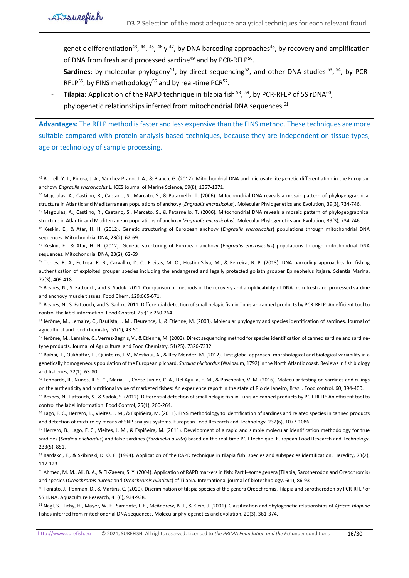genetic differentiation<sup>43</sup>, <sup>44</sup>, <sup>45</sup>, <sup>46</sup> y<sup>47</sup>, by DNA barcoding approaches<sup>48</sup>, by recovery and amplification of DNA from fresh and processed sardine<sup>49</sup> and by PCR-RFLP<sup>50</sup>.

- **Sardines**: by molecular phylogeny<sup>51</sup>, by direct sequencing<sup>52</sup>, and other DNA studies <sup>53</sup>, <sup>54</sup>, by PCR-RFLP<sup>55</sup>, by FINS methodology<sup>56</sup> and by real-time PCR<sup>57</sup>.
- <sup>-</sup> Tilapia: Application of the RAPD technique in tilapia fish<sup>58</sup>, <sup>59</sup>, by PCR-RFLP of 5S rDNA<sup>60</sup>, phylogenetic relationships inferred from mitochondrial DNA sequences <sup>61</sup>

**Advantages:** The RFLP method is faster and less expensive than the FINS method. These techniques are more suitable compared with protein analysis based techniques, because they are independent on tissue types, age or technology of sample processing.

49 Besbes, N., S. Fattouch, and S. Sadok. 2011. Comparison of methods in the recovery and amplificability of DNA from fresh and processed sardine and anchovy muscle tissues. Food Chem. 129:665-671.

52 Jérôme, M., Lemaire, C., Verrez-Bagnis, V., & Etienne, M. (2003). Direct sequencing method for species identification of canned sardine and sardinetype products. Journal of Agricultural and Food Chemistry, 51(25), 7326-7332.

53 Baibai, T., Oukhattar, L., Quinteiro, J. V., Mesfioui, A., & Rey-Mendez, M. (2012). First global approach: morphological and biological variability in a genetically homogeneous population of the European pilchard, *Sardina pilchardus*(Walbaum, 1792) in the North Atlantic coast. Reviews in fish biology and fisheries, 22(1), 63-80.

54 Leonardo, R., Nunes, R. S. C., Maria, L., Conte-Junior, C. A., Del Aguila, E. M., & Paschoalin, V. M. (2016). Molecular testing on sardines and rulings on the authenticity and nutritional value of marketed fishes: An experience report in the state of Rio de Janeiro, Brazil. Food control, 60, 394-400.

<sup>55</sup> Besbes, N., Fattouch, S., & Sadok, S. (2012). Differential detection of small pelagic fish in Tunisian canned products by PCR-RFLP: An efficient tool to control the label information. Food Control, 25(1), 260-264.

<sup>56</sup> Lago, F. C., Herrero, B., Vieites, J. M., & Espiñeira, M. (2011). FINS methodology to identification of sardines and related species in canned products and detection of mixture by means of SNP analysis systems. European Food Research and Technology, 232(6), 1077-1086

<sup>57</sup> Herrero, B., Lago, F. C., Vieites, J. M., & Espiñeira, M. (2011). Development of a rapid and simple molecular identification methodology for true sardines (*Sardina pilchardus*) and false sardines (*Sardinella aurita*) based on the real-time PCR technique. European Food Research and Technology, 233(5), 851.

<sup>58</sup> Bardakci, F., & Skibinski, D. O. F. (1994). Application of the RAPD technique in tilapia fish: species and subspecies identification. Heredity, 73(2), 117-123.

<sup>59</sup> Ahmed, M. M., Ali, B. A., & EI-Zaeem, S. Y. (2004). Application of RAPD markers in fish: Part I–some genera (Tilapia, Sarotherodon and Oreochromis) and species (*Oreochromis aureus* and *Oreochromis niloticus*) of Tilapia. International journal of biotechnology, 6(1), 86-93

<sup>60</sup> Toniato, J., Penman, D., & Martins, C. (2010). Discrimination of tilapia species of the genera Oreochromis, Tilapia and Sarotherodon by PCR-RFLP of 5S rDNA. Aquaculture Research, 41(6), 934-938.

<sup>61</sup> Nagl, S., Tichy, H., Mayer, W. E., Samonte, I. E., McAndrew, B. J., & Klein, J. (2001). Classification and phylogenetic relationships of *African tilapiine* fishes inferred from mitochondrial DNA sequences. Molecular phylogenetics and evolution, 20(3), 361-374.

[http://www.surefish.eu](http://www.surefish.eu/) © 2021, SUREFISH. All rights reserved. Licensed to *the PRIMA Foundation and the EU* under conditions 16/30

<sup>43</sup> Borrell, Y. J., Pinera, J. A., Sánchez Prado, J. A., & Blanco, G. (2012). Mitochondrial DNA and microsatellite genetic differentiation in the European anchovy *Engraulis encrasicolus* L. ICES Journal of Marine Science, 69(8), 1357-1371.

<sup>44</sup> Magoulas, A., Castilho, R., Caetano, S., Marcato, S., & Patarnello, T. (2006). Mitochondrial DNA reveals a mosaic pattern of phylogeographical structure in Atlantic and Mediterranean populations of anchovy (*Engraulis encrasicolus*). Molecular Phylogenetics and Evolution, 39(3), 734-746.

<sup>45</sup> Magoulas, A., Castilho, R., Caetano, S., Marcato, S., & Patarnello, T. (2006). Mitochondrial DNA reveals a mosaic pattern of phylogeographical structure in Atlantic and Mediterranean populations of anchovy *(Engraulis encrasicolus*). Molecular Phylogenetics and Evolution, 39(3), 734-746.

<sup>46</sup> Keskin, E., & Atar, H. H. (2012). Genetic structuring of European anchovy (*Engraulis encrasicolus*) populations through mitochondrial DNA sequences. Mitochondrial DNA, 23(2), 62-69.

<sup>47</sup> Keskin, E., & Atar, H. H. (2012). Genetic structuring of European anchovy (*Engraulis encrasicolus*) populations through mitochondrial DNA sequences. Mitochondrial DNA, 23(2), 62-69

<sup>48</sup> Torres, R. A., Feitosa, R. B., Carvalho, D. C., Freitas, M. O., Hostim-Silva, M., & Ferreira, B. P. (2013). DNA barcoding approaches for fishing authentication of exploited grouper species including the endangered and legally protected goliath grouper Epinephelus itajara. Scientia Marina, 77(3), 409-418.

<sup>50</sup> Besbes, N., S. Fattouch, and S. Sadok. 2011. Differential detection of small pelagic fish in Tunisian canned products by PCR-RFLP: An efficient tool to control the label information. Food Control. 25:(1): 260-264

<sup>&</sup>lt;sup>51</sup> Jérôme, M., Lemaire, C., Bautista, J. M., Fleurence, J., & Etienne, M. (2003). Molecular phylogeny and species identification of sardines. Journal of agricultural and food chemistry, 51(1), 43-50.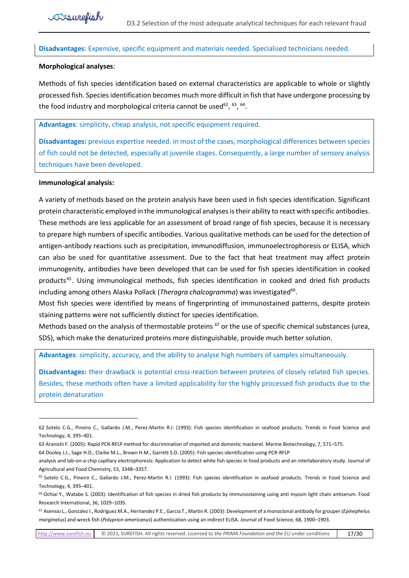### **Disadvantages**: Expensive, specific equipment and materials needed. Specialised technicians needed.

#### **Morphological analyses**:

Methods of fish species identification based on external characteristics are applicable to whole or slightly processed fish. Species identification becomes much more difficult in fish that have undergone processing by the food industry and morphological criteria cannot be used<sup>62</sup>,  $^{63}$ ,  $^{64}$ .

**Advantages**: simplicity, cheap analysis, not specific equipment required.

**Disadvantages:** previous expertise needed. in most of the cases, morphological differences between species of fish could not be detected, especially at juvenile stages. Consequently, a large number of sensory analysis techniques have been developed.

#### **Immunological analysis:**

A variety of methods based on the protein analysis have been used in fish species identification. Significant protein characteristic employed in the immunological analyses is their ability to react with specific antibodies. These methods are less applicable for an assessment of broad range of fish species, because it is necessary to prepare high numbers of specific antibodies. Various qualitative methods can be used for the detection of antigen-antibody reactions such as precipitation, immunodiffusion, immunoelectrophoresis or ELISA, which can also be used for quantitative assessment. Due to the fact that heat treatment may affect protein immunogenity, antibodies have been developed that can be used for fish species identification in cooked products<sup>65</sup>. Using immunological methods, fish species identification in cooked and dried fish products including among others Alaska Pollack (Theragra chalcogramma) was investigated<sup>66</sup>.

Most fish species were identified by means of fingerprinting of immunostained patterns, despite protein staining patterns were not sufficiently distinct for species identification.

Methods based on the analysis of thermostable proteins <sup>67</sup> or the use of specific chemical substances (urea, SDS), which make the denaturized proteins more distinguishable, provide much better solution.

**Advantages**: simplicity, accuracy, and the ability to analyse high numbers of samples simultaneously.

**Disadvantages:** their drawback is potential cross-reaction between proteins of closely related fish species. Besides, these methods often have a limited applicability for the highly processed fish products due to the protein denaturation

<sup>62</sup> Sotelo C.G., Pineiro C., Gallardo J.M., Perez-Martin R.I. (1993): Fish species identification in seafood products. Trends in Food Science and Technology, 4, 395–401.

<sup>63</sup> Aranishi F. (2005): Rapid PCR-RFLP method for discrimination of imported and domestic mackerel. Marine Biotechnology, 7, 571–575.

<sup>64</sup> Dooley J.J., Sage H.D., Clarke M.L., Brown H.M., Garrett S.D. (2005): Fish species identification using PCR-RFLP

analysis and lab-on-a-chip capillary electrophoresis: Application to detect white fish species in food products and an interlaboratory study. Journal of Agricultural and Food Chemistry, 53, 3348–3357.

<sup>65</sup> Sotelo C.G., Pineiro C., Gallardo J.M., Perez-Martin R.I. (1993): Fish species identification in seafood products. Trends in Food Science and Technology, 4, 395–401.

<sup>&</sup>lt;sup>66</sup> Ochiai Y., Watabe S. (2003): Identification of fish species in dried fish products by immunostaining using anti myosin light chain antiserum. Food Research International, 36, 1029–1035.

<sup>67</sup> Asensio L., Gonzalez I., Rodriguez M.A., Hernandez P.E., Garcia T., Martin R. (2003): Development of a monoclonal antibody for grouper (*Epinephelus marginatus*) and wreck fish (*Polyprion americanus*) authentication using an indirect ELISA. Journal of Food Science, 68, 1900–1903.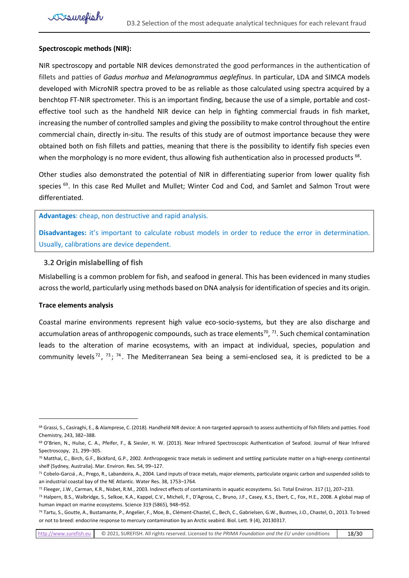### **Spectroscopic methods (NIR):**

NIR spectroscopy and portable NIR devices demonstrated the good performances in the authentication of fillets and patties of *Gadus morhua* and *Melanogrammus aeglefinus*. In particular, LDA and SIMCA models developed with MicroNIR spectra proved to be as reliable as those calculated using spectra acquired by a benchtop FT-NIR spectrometer. This is an important finding, because the use of a simple, portable and costeffective tool such as the handheld NIR device can help in fighting commercial frauds in fish market, increasing the number of controlled samples and giving the possibility to make control throughout the entire commercial chain, directly in-situ. The results of this study are of outmost importance because they were obtained both on fish fillets and patties, meaning that there is the possibility to identify fish species even when the morphology is no more evident, thus allowing fish authentication also in processed products <sup>68</sup>.

Other studies also demonstrated the potential of NIR in differentiating superior from lower quality fish species<sup>69</sup>. In this case Red Mullet and Mullet; Winter Cod and Cod, and Samlet and Salmon Trout were differentiated.

**Advantages**: cheap, non destructive and rapid analysis.

**Disadvantages:** it's important to calculate robust models in order to reduce the error in determination. Usually, calibrations are device dependent.

### <span id="page-17-0"></span>**3.2 Origin mislabelling of fish**

Mislabelling is a common problem for fish, and seafood in general. This has been evidenced in many studies across the world, particularly using methods based on DNA analysis for identification of species and its origin.

### **Trace elements analysis**

Coastal marine environments represent high value eco-socio-systems, but they are also discharge and accumulation areas of anthropogenic compounds, such as trace elements<sup>70</sup>, <sup>71</sup>. Such chemical contamination leads to the alteration of marine ecosystems, with an impact at individual, species, population and community levels<sup>72</sup>, <sup>73</sup>; <sup>74</sup>. The Mediterranean Sea being a semi-enclosed sea, it is predicted to be a

<sup>&</sup>lt;sup>68</sup> Grassi, S., Casiraghi, E., & Alamprese, C. (2018). Handheld NIR device: A non-targeted approach to assess authenticity of fish fillets and patties. Food Chemistry, 243, 382–388.

<sup>69</sup> O'Brien, N., Hulse, C. A., Pfeifer, F., & Siesler, H. W. (2013). Near Infrared Spectroscopic Authentication of Seafood. Journal of Near Infrared Spectroscopy, 21, 299–305.

 $70$  Matthai, C., Birch, G.F., Bickford, G.P., 2002. Anthropogenic trace metals in sediment and settling particulate matter on a high-energy continental shelf (Sydney, Australia). Mar. Environ. Res. 54, 99–127.

 $71$  Cobelo-Garciá, A., Prego, R., Labandeira, A., 2004. Land inputs of trace metals, major elements, particulate organic carbon and suspended solids to an industrial coastal bay of the NE Atlantic. Water Res. 38, 1753–1764.

 $72$  Fleeger, J.W., Carman, K.R., Nisbet, R.M., 2003. Indirect effects of contaminants in aquatic ecosystems. Sci. Total Environ. 317 (1), 207-233.

<sup>73</sup> Halpern, B.S., Walbridge, S., Selkoe, K.A., Kappel, C.V., Micheli, F., D'Agrosa, C., Bruno, J.F., Casey, K.S., Ebert, C., Fox, H.E., 2008. A global map of human impact on marine ecosystems. Science 319 (5865), 948–952.

<sup>74</sup> Tartu, S., Goutte, A., Bustamante, P., Angelier, F., Moe, B., Clément-Chastel, C., Bech, C., Gabrielsen, G.W., Bustnes, J.O., Chastel, O., 2013. To breed or not to breed: endocrine response to mercury contamination by an Arctic seabird. Biol. Lett. 9 (4), 20130317.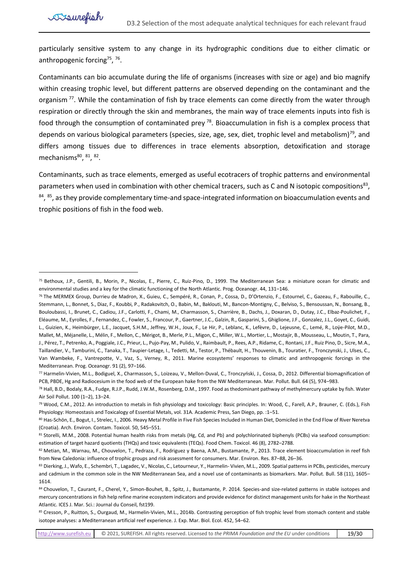particularly sensitive system to any change in its hydrographic conditions due to either climatic or anthropogenic forcing<sup>75</sup>, <sup>76</sup>.

Contaminants can bio accumulate during the life of organisms (increases with size or age) and bio magnify within creasing trophic level, but different patterns are observed depending on the contaminant and the organism<sup>77</sup>. While the contamination of fish by trace elements can come directly from the water through respiration or directly through the skin and membranes, the main way of trace elements inputs into fish is food through the consumption of contaminated prey  $78$ . Bioaccumulation in fish is a complex process that depends on various biological parameters (species, size, age, sex, diet, trophic level and metabolism)<sup>79</sup>, and differs among tissues due to differences in trace elements absorption, detoxification and storage mechanisms<sup>80</sup>, 81, 82.

Contaminants, such as trace elements, emerged as useful ecotracers of trophic patterns and environmental parameters when used in combination with other chemical tracers, such as C and N isotopic compositions<sup>83</sup>, <sup>84</sup>, <sup>85</sup>, as they provide complementary time-and space-integrated information on bioaccumulation events and trophic positions of fish in the food web.

<sup>75</sup> Bethoux, J.P., Gentili, B., Morin, P., Nicolas, E., Pierre, C., Ruiz-Pino, D., 1999. The Mediterranean Sea: a miniature ocean for climatic and environmental studies and a key for the climatic functioning of the North Atlantic. Prog. Oceanogr. 44, 131–146.

<sup>76</sup> The MERMEX Group, Durrieu de Madron, X., Guieu, C., Sempéré, R., Conan, P., Cossa, D., D'Ortenzio, F., Estournel, C., Gazeau, F., Rabouille, C., Stemmann, L., Bonnet, S., Diaz, F., Koubbi, P., Radakovitch, O., Babin, M., Baklouti, M., Bancon-Montigny, C., Belviso, S., Bensoussan, N., Bonsang, B., Bouloubassi, I., Brunet, C., Cadiou, J.F., Carlotti, F., Chami, M., Charmasson, S., Charrière, B., Dachs, J., Doxaran, D., Dutay, J.C., Elbaz-Poulichet, F., Eléaume, M., Eyrolles, F., Fernandez, C., Fowler, S., Francour, P., Gaertner, J.C., Galzin, R., Gasparini, S., Ghiglione, J.F., Gonzalez, J.L., Goyet, C., Guidi, L., Guizien, K., Heimbürger, L.E., Jacquet, S.H.M., Jeffrey, W.H., Joux, F., Le Hir, P., Leblanc, K., Lefèvre, D., Lejeusne, C., Lemé, R., Loÿe-Pilot, M.D., Mallet, M., Méjanelle, L., Mélin, F., Mellon, C., Mérigot, B., Merle, P.L., Migon, C., Miller, W.L., Mortier, L., Mostajir, B., Mousseau, L., Moutin, T., Para, J., Pérez, T., Petrenko, A., Poggiale, J.C., Prieur, L., Pujo-Pay, M., Pulido, V., Raimbault, P., Rees, A.P., Ridame, C., Rontani, J.F., Ruiz Pino, D., Sicre, M.A., Taillandier, V., Tamburini, C., Tanaka, T., Taupier-Letage, I., Tedetti, M., Testor, P., Thébault, H., Thouvenin, B., Touratier, F., Tronczynski, J., Ulses, C., Van Wambeke, F., Vantrepotte, V., Vaz, S., Verney, R., 2011. Marine ecosystems' responses to climatic and anthropogenic forcings in the Mediterranean. Prog. Oceanogr. 91 (2), 97–166.

<sup>77</sup> Harmelin-Vivien, M.L., Bodiguel, X., Charmasson, S., Loizeau, V., Mellon-Duval, C., Tronczyński, J., Cossa, D., 2012. Differential biomagnification of PCB, PBDE, Hg and Radiocesium in the food web of the European hake from the NW Mediterranean. Mar. Pollut. Bull. 64 (5), 974–983.

<sup>78</sup> Hall, B.D., Bodaly, R.A., Fudge, R.J.P., Rudd, J.W.M., Rosenberg, D.M., 1997. Food as thedominant pathway of methylmercury uptake by fish. Water Air Soil Pollut. 100 (1–2), 13–24.

<sup>79</sup> Wood, C.M., 2012. An introduction to metals in fish physiology and toxicology: Basic principles. In: Wood, C., Farell, A.P., Brauner, C. (Eds.), Fish Physiology: Homeostasis and Toxicalogy of Essential Metals, vol. 31A. Academic Press, San Diego, pp. :1–51.

<sup>80</sup> Has-Schön, E., Bogut, I., Strelec, I., 2006. Heavy Metal Profile in Five Fish Species Included in Human Diet, Domiciled in the End Flow of River Neretva (Croatia). Arch. Environ. Contam. Toxicol. 50, 545–551.

<sup>81</sup> Storelli, M.M., 2008. Potential human health risks from metals (Hg, Cd, and Pb) and polychlorinated biphenyls (PCBs) via seafood consumption: estimation of target hazard quotients (THQs) and toxic equivalents (TEQs). Food Chem. Toxicol. 46 (8), 2782–2788.

<sup>82</sup> Metian, M., Warnau, M., Chouvelon, T., Pedraza, F., Rodriguez y Baena, A.M., Bustamante, P., 2013. Trace element bioaccumulation in reef fish from New Caledonia: influence of trophic groups and risk assessment for consumers. Mar. Environ. Res. 87–88, 26–36.

<sup>83</sup> Dierking, J., Wafo, E., Schembri, T., Lagadec, V., Nicolas, C., Letourneur, Y., Harmelin- Vivien, M.L., 2009. Spatial patterns in PCBs, pesticides, mercury and cadmium in the common sole in the NW Mediterranean Sea, and a novel use of contaminants as biomarkers. Mar. Pollut. Bull. 58 (11), 1605-1614.

<sup>84</sup> Chouvelon, T., Caurant, F., Cherel, Y., Simon-Bouhet, B., Spitz, J., Bustamante, P. 2014. Species-and size-related patterns in stable isotopes and mercury concentrations in fish help refine marine ecosystem indicators and provide evidence for distinct management units for hake in the Northeast Atlantic. ICES J. Mar. Sci.: Journal du Conseil, fst199.

<sup>85</sup> Cresson, P., Ruitton, S., Ourgaud, M., Harmelin-Vivien, M.L., 2014b. Contrasting perception of fish trophic level from stomach content and stable isotope analyses: a Mediterranean artificial reef experience. J. Exp. Mar. Biol. Ecol. 452, 54–62.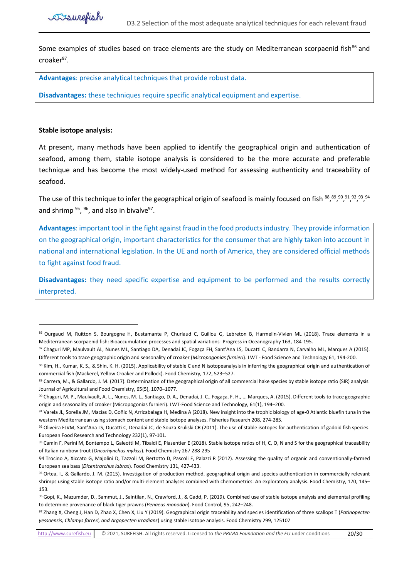Some examples of studies based on trace elements are the study on Mediterranean scorpaenid fish<sup>86</sup> and croaker<sup>87</sup>.

**Advantages**: precise analytical techniques that provide robust data.

**Disadvantages:** these techniques require specific analytical equipment and expertise.

#### **Stable isotope analysis:**

At present, many methods have been applied to identify the geographical origin and authentication of seafood, among them, stable isotope analysis is considered to be the more accurate and preferable technique and has become the most widely-used method for assessing authenticity and traceability of seafood.

The use of this technique to infer the geographical origin of seafood is mainly focused on fish  $^{88}$ ,  $^{89}$ ,  $^{90}$ ,  $^{91}$ ,  $^{92}$ ,  $^{93}$ ,  $^{94}$ and shrimp  $95, 96$ , and also in bivalve $97$ .

**Advantages**: important tool in the fight against fraud in the food products industry. They provide information on the geographical origin, important characteristics for the consumer that are highly taken into account in national and international legislation. In the UE and north of America, they are considered official methods to fight against food fraud.

**Disadvantages:** they need specific expertise and equipment to be performed and the results correctly interpreted.

[http://www.surefish.eu](http://www.surefish.eu/) © 2021, SUREFISH. All rights reserved. Licensed to *the PRIMA Foundation and the EU* under conditions 20/30

<sup>86</sup> Ourgaud M, Ruitton S, Bourgogne H, Bustamante P, Churlaud C, Guillou G, Lebreton B, Harmelin-Vivien ML (2018). Trace elements in a Mediterranean scorpaenid fish: Bioaccumulation processes and spatial variations- Progress in Oceanography 163, 184-195.

<sup>87</sup> Chaguri MP, Maulvault AL, Nunes ML, Santiago DA, Denadai JC, Fogaça FH, Sant'Ana LS, Ducatti C, Bandarra N, Carvalho ML, Marques A (2015). Different tools to trace geographic origin and seasonality of croaker (*Micropogonias furnieri*). LWT - Food Science and Technology 61, 194-200.

<sup>88</sup> Kim, H., Kumar, K. S., & Shin, K. H. (2015). Applicability of stable C and N isotopeanalysis in inferring the geographical origin and authentication of commercial fish (Mackerel, Yellow Croaker and Pollock). Food Chemistry, 172, 523–527.

<sup>89</sup> Carrera, M., & Gallardo, J. M. (2017). Determination of the geographical origin of all commercial hake species by stable isotope ratio (SIR) analysis. Journal of Agricultural and Food Chemistry, 65(5), 1070–1077.

<sup>90</sup> Chaguri, M. P., Maulvault, A. L., Nunes, M. L., Santiago, D. A., Denadai, J. C., Fogaça, F. H., ... Marques, A. (2015). Different tools to trace geographic origin and seasonality of croaker (Micropogonias furnieri). LWT-Food Science and Technology, 61(1), 194–200.

<sup>91</sup> Varela JL, Sorella JM, Macías D, Goñic N, Arrizabalaga H, Medina A (2018). New insight into the trophic biology of age-0 Atlantic bluefin tuna in the western Mediterranean using stomach content and stable isotope analyses. Fisheries Research 208, 274-285.

<sup>92</sup> Oliveira EJVM, Sant'Ana LS, Ducatti C, Denadai JC, de Souza Kruliski CR (2011). The use of stable isotopes for authentication of gadoid fish species. European Food Research and Technology 232(1), 97-101.

<sup>93</sup> Camin F, Perini M, Bontempo L, Galeotti M, Tibaldi E, Piasentier E (2018). Stable isotope ratios of H, C, O, N and S for the geographical traceability of Italian rainbow trout (*Oncorhynchus mykiss*). Food Chemistry 267 288-295

<sup>94</sup> Trocino A, Xiccato G, Majolini D, Tazzoli M, Bertotto D, Pascoli F, Palazzi R (2012). Assessing the quality of organic and conventionally-farmed European sea bass (*Dicentrarchus labrax*). Food Chemistry 131, 427-433.

<sup>&</sup>lt;sup>95</sup> Ortea, I., & Gallardo, J. M. (2015). Investigation of production method, geographical origin and species authentication in commercially relevant shrimps using stable isotope ratio and/or multi-element analyses combined with chemometrics: An exploratory analysis. Food Chemistry, 170, 145– 153.

<sup>96</sup> Gopi, K., Mazumder, D., Sammut, J., Saintilan, N., Crawford, J., & Gadd, P. (2019). Combined use of stable isotope analysis and elemental profiling to determine provenance of black tiger prawns (*Penaeus monodon*). Food Control, 95, 242–248.

<sup>97</sup> Zhang X, Cheng J, Han D, Zhao X, Chen X, Liu Y (2019). Geographical origin traceability and species identification of three scallops T (*Patinopecten yessoensis, Chlamys farreri, and Argopecten irradians*) using stable isotope analysis. Food Chemistry 299, 125107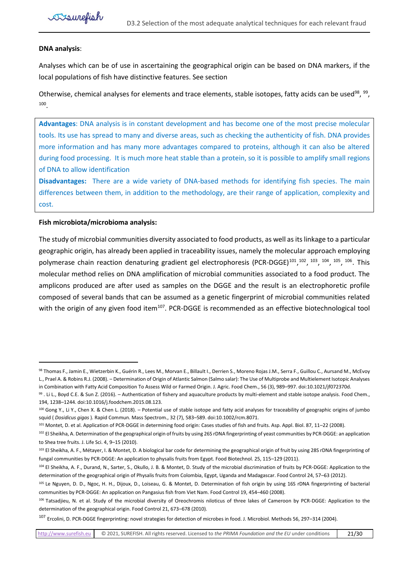#### **DNA analysis**:

Analyses which can be of use in ascertaining the geographical origin can be based on DNA markers, if the local populations of fish have distinctive features. See section

Otherwise, chemical analyses for elements and trace elements, stable isotopes, fatty acids can be used<sup>98</sup>, <sup>99</sup>, 100 .

**Advantages**: DNA analysis is in constant development and has become one of the most precise molecular tools. Its use has spread to many and diverse areas, such as checking the authenticity of fish. DNA provides more information and has many more advantages compared to proteins, although it can also be altered during food processing. It is much more heat stable than a protein, so it is possible to amplify small regions of DNA to allow identification

**Disadvantages:** There are a wide variety of DNA-based methods for identifying fish species. The main differences between them, in addition to the methodology, are their range of application, complexity and cost.

#### **Fish microbiota/microbioma analysis:**

The study of microbial communities diversity associated to food products, as well as its linkage to a particular geographic origin, has already been applied in traceability issues, namely the molecular approach employing polymerase chain reaction denaturing gradient gel electrophoresis (PCR-DGGE)<sup>101</sup>,<sup>102</sup>, <sup>103</sup>, <sup>104</sup>, <sup>105</sup>, <sup>106</sup>. This molecular method relies on DNA amplification of microbial communities associated to a food product. The amplicons produced are after used as samples on the DGGE and the result is an electrophoretic profile composed of several bands that can be assumed as a genetic fingerprint of microbial communities related with the origin of any given food item<sup>107</sup>. PCR-DGGE is recommended as an effective biotechnological tool

<sup>98</sup> Thomas F., Jamin E., Wietzerbin K., Guérin R., Lees M., Morvan E., Billault I., Derrien S., Moreno Rojas J.M., Serra F., Guillou C., Aursand M., McEvoy L., Prael A. & Robins R.J. (2008). – Determination of Origin of Atlantic Salmon (Salmo salar): The Use of Multiprobe and Multielement Isotopic Analyses

in Combination with Fatty Acid Composition To Assess Wild or Farmed Origin. J. Agric. Food Chem., 56 (3), 989–997. doi:10.1021/jf072370d.

<sup>99.</sup> Li L., Boyd C.E. & Sun Z. (2016). – Authentication of fishery and aquaculture products by multi-element and stable isotope analysis. Food Chem., 194, 1238–1244. doi:10.1016/j.foodchem.2015.08.123.

<sup>100</sup> Gong Y., Li Y., Chen X. & Chen L. (2018). - Potential use of stable isotope and fatty acid analyses for traceability of geographic origins of jumbo squid ( *Dosidicus gigas* ). Rapid Commun. Mass Spectrom., 32 (7), 583–589. doi:10.1002/rcm.8071.

<sup>101</sup> Montet, D. et al. Application of PCR-DGGE in determining food origin: Cases studies of fish and fruits. Asp. Appl. Biol. 87, 11-22 (2008).

<sup>102</sup> El Sheikha, A. Determination of the geographical origin of fruits by using 26S rDNA fingerprinting of yeast communities by PCR-DGGE: an application to Shea tree fruits. J. Life Sci. 4, 9–15 (2010).

<sup>103</sup> El Sheikha, A. F., Métayer, I. & Montet, D. A biological bar code for determining the geographical origin of fruit by using 28S rDNA fingerprinting of fungal communities by PCR-DGGE: An application to physalis fruits from Egypt. Food Biotechnol. 25, 115–129 (2011).

<sup>104</sup> El Sheikha, A. F., Durand, N., Sarter, S., Okullo, J. B. & Montet, D. Study of the microbial discrimination of fruits by PCR-DGGE: Application to the determination of the geographical origin of Physalis fruits from Colombia, Egypt, Uganda and Madagascar. Food Control 24, 57–63 (2012).

<sup>105</sup> Le Nguyen, D. D., Ngoc, H. H., Dijoux, D., Loiseau, G. & Montet, D. Determination of fish origin by using 16S rDNA fingerprinting of bacterial communities by PCR-DGGE: An application on Pangasius fish from Viet Nam. Food Control 19, 454–460 (2008).

<sup>106</sup> Tatsadjieu, N. et al. Study of the microbial diversity of Oreochromis niloticus of three lakes of Cameroon by PCR-DGGE: Application to the determination of the geographical origin. Food Control 21, 673–678 (2010).

<sup>107</sup> Ercolini, D. PCR-DGGE fingerprinting: novel strategies for detection of microbes in food. J. Microbiol. Methods 56, 297–314 (2004).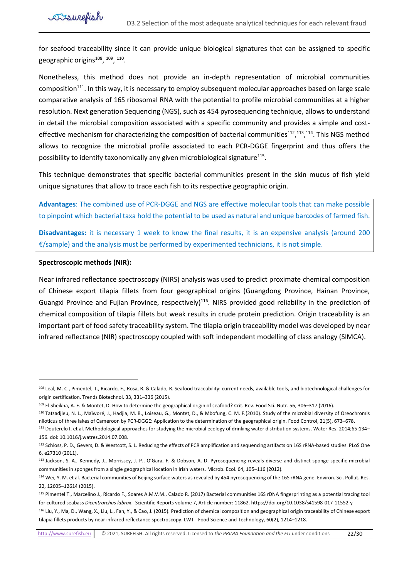for seafood traceability since it can provide unique biological signatures that can be assigned to specific geographic origins<sup>108</sup>, <sup>109</sup>, <sup>110</sup>.

Nonetheless, this method does not provide an in-depth representation of microbial communities composition<sup>111</sup>. In this way, it is necessary to employ subsequent molecular approaches based on large scale comparative analysis of 16S ribosomal RNA with the potential to profile microbial communities at a higher resolution. Next generation Sequencing (NGS), such as 454 pyrosequencing technique, allows to understand in detail the microbial composition associated with a specific community and provides a simple and costeffective mechanism for characterizing the composition of bacterial communities<sup>112</sup>,<sup>113</sup>,<sup>114</sup>. This NGS method allows to recognize the microbial profile associated to each PCR-DGGE fingerprint and thus offers the possibility to identify taxonomically any given microbiological signature<sup>115</sup>.

This technique demonstrates that specific bacterial communities present in the skin mucus of fish yield unique signatures that allow to trace each fish to its respective geographic origin.

**Advantages**: The combined use of PCR-DGGE and NGS are effective molecular tools that can make possible to pinpoint which bacterial taxa hold the potential to be used as natural and unique barcodes of farmed fish.

**Disadvantages:** it is necessary 1 week to know the final results, it is an expensive analysis (around 200 €/sample) and the analysis must be performed by experimented technicians, it is not simple.

#### **Spectroscopic methods (NIR):**

Eisurefish

Near infrared reflectance spectroscopy (NIRS) analysis was used to predict proximate chemical composition of Chinese export tilapia fillets from four geographical origins (Guangdong Province, Hainan Province, Guangxi Province and Fujian Province, respectively)<sup>116</sup>. NIRS provided good reliability in the prediction of chemical composition of tilapia fillets but weak results in crude protein prediction. Origin traceability is an important part of food safety traceability system. The tilapia origin traceability model was developed by near infrared reflectance (NIR) spectroscopy coupled with soft independent modelling of class analogy (SIMCA).

<sup>108</sup> Leal, M. C., Pimentel, T., Ricardo, F., Rosa, R. & Calado, R. Seafood traceability: current needs, available tools, and biotechnological challenges for origin certification. Trends Biotechnol. 33, 331–336 (2015).

<sup>109</sup> El Sheikha, A. F. & Montet, D. How to determine the geographical origin of seafood? Crit. Rev. Food Sci. Nutr. 56, 306–317 (2016).

<sup>110</sup> Tatsadjieu, N. L., Maïworé, J., Hadjia, M. B., Loiseau, G., Montet, D., & Mbofung, C. M. F.(2010). Study of the microbial diversity of Oreochromis niloticus of three lakes of Cameroon by PCR-DGGE: Application to the determination of the geographical origin. Food Control, 21(5), 673–678.

<sup>111</sup> Douterelo I, et al. Methodological approaches for studying the microbial ecology of drinking water distribution systems. Water Res. 2014;65:134– 156. doi: 10.1016/j.watres.2014.07.008.

<sup>112</sup> Schloss, P. D., Gevers, D. & Westcott, S. L. Reducing the effects of PCR amplification and sequencing artifacts on 16S rRNA-based studies. PLoS One 6, e27310 (2011).

<sup>113</sup> Jackson, S. A., Kennedy, J., Morrissey, J. P., O'Gara, F. & Dobson, A. D. Pyrosequencing reveals diverse and distinct sponge-specific microbial communities in sponges from a single geographical location in Irish waters. Microb. Ecol. 64, 105–116 (2012).

<sup>114</sup> Wei, Y. M. et al. Bacterial communities of Beijing surface waters as revealed by 454 pyrosequencing of the 16S rRNA gene. Environ. Sci. Pollut. Res. 22, 12605–12614 (2015).

<sup>115</sup> Pimentel T., Marcelino J., Ricardo F., Soares A.M.V.M., Calado R. (2017) Bacterial communities 16S rDNA fingerprinting as a potential tracing tool for cultured seabass *Dicentrarchus labrax*. Scientific Reports volume 7, Article number: 11862. https://doi.org/10.1038/s41598-017-11552-y

<sup>116</sup> Liu, Y., Ma, D., Wang, X., Liu, L., Fan, Y., & Cao, J. (2015). Prediction of chemical composition and geographical origin traceability of Chinese export tilapia fillets products by near infrared reflectance spectroscopy. LWT - Food Science and Technology, 60(2), 1214–1218.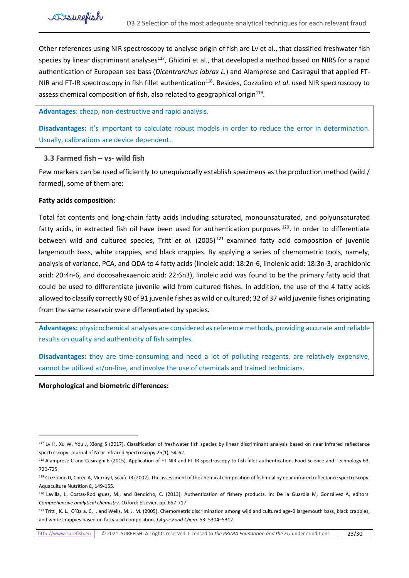Other references using NIR spectroscopy to analyse origin of fish are Lv et al., that classified freshwater fish species by linear discriminant analyses<sup>117</sup>, Ghidini et al., that developed a method based on NIRS for a rapid authentication of European sea bass (*Dicentrarchus labrax L.*) and Alamprese and Casiragui that applied FT-NIR and FT-IR spectroscopy in fish fillet authentication<sup>118</sup>. Besides, Cozzolino *et al*. used NIR spectroscopy to assess chemical composition of fish, also related to geographical origin<sup>119</sup>.

**Advantages**: cheap, non-destructive and rapid analysis.

**Disadvantages:** it's important to calculate robust models in order to reduce the error in determination. Usually, calibrations are device dependent.

# <span id="page-22-0"></span>**3.3 Farmed fish – vs- wild fish**

Few markers can be used efficiently to unequivocally establish specimens as the production method (wild / farmed), some of them are:

### **Fatty acids composition:**

Total fat contents and long-chain fatty acids including saturated, monounsaturated, and polyunsaturated fatty acids, in extracted fish oil have been used for authentication purposes <sup>120</sup>. In order to differentiate between wild and cultured species, Tritt *et al.* (2005)<sup>121</sup> examined fatty acid composition of juvenile largemouth bass, white crappies, and black crappies. By applying a series of chemometric tools, namely, analysis of variance, PCA, and QDA to 4 fatty acids (linoleic acid: 18:2n-6, linolenic acid: 18:3n-3, arachidonic acid: 20:4n-6, and docosahexaenoic acid: 22:6n3), linoleic acid was found to be the primary fatty acid that could be used to differentiate juvenile wild from cultured fishes. In addition, the use of the 4 fatty acids allowed to classify correctly 90 of 91 juvenile fishes as wild or cultured; 32 of 37 wild juvenile fishes originating from the same reservoir were differentiated by species.

**Advantages:** physicochemical analyses are considered as reference methods, providing accurate and reliable results on quality and authenticity of fish samples.

**Disadvantages:** they are time-consuming and need a lot of polluting reagents, are relatively expensive, cannot be utilized at/on-line, and involve the use of chemicals and trained technicians.

**Morphological and biometric differences:** 

[http://www.surefish.eu](http://www.surefish.eu/) © 2021, SUREFISH. All rights reserved. Licensed to *the PRIMA Foundation and the EU* under conditions 23/30

<sup>&</sup>lt;sup>117</sup> Lv H, Xu W, You J, Xiong S (2017). Classification of freshwater fish species by linear discriminant analysis based on near infrared reflectance spectroscopy. Journal of Near Infrared Spectroscopy 25(1), 54-62.

<sup>118</sup> Alamprese C and Casiraghi E (2015). Application of FT-NIR and FT-IR spectroscopy to fish fillet authentication. Food Science and Technology 63, 720-725.

<sup>&</sup>lt;sup>119</sup> Cozzolino D, Chree A, Murray I, Scaife JR (2002). The assessment of the chemical composition of fishmeal by near infrared reflectance spectroscopy. Aquaculture Nutrition 8, 149-155.

<sup>120</sup> Lavilla, I., Costas-Rod iguez, M., and Bendicho, C. (2013). Authentication of fishery products. In: De la Guardia M, Gonzálvez A, editors. *Comprehensive analytical chemistry*. Oxford: Elsevier. pp. 657-717.

<sup>121</sup> Tritt, K. L., O'Ba a, C. ., and Wells, M. J. M. (2005). Chemometric discrimination among wild and cultured age-0 largemouth bass, black crappies, and white crappies based on fatty acid composition. *J Agric Food Chem*. 53: 5304–5312.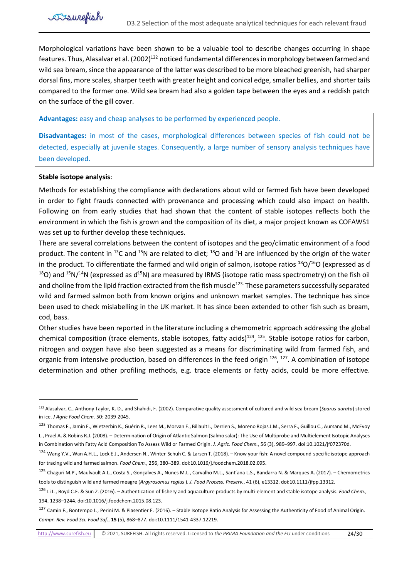Morphological variations have been shown to be a valuable tool to describe changes occurring in shape features. Thus, Alasalvar et al. (2002)<sup>122</sup> noticed fundamental differences in morphology between farmed and wild sea bream, since the appearance of the latter was described to be more bleached greenish, had sharper dorsal fins, more scales, sharper teeth with greater height and conical edge, smaller bellies, and shorter tails compared to the former one. Wild sea bream had also a golden tape between the eyes and a reddish patch on the surface of the gill cover.

**Advantages:** easy and cheap analyses to be performed by experienced people.

**Disadvantages:** in most of the cases, morphological differences between species of fish could not be detected, especially at juvenile stages. Consequently, a large number of sensory analysis techniques have been developed.

### **Stable isotope analysis**:

Methods for establishing the compliance with declarations about wild or farmed fish have been developed in order to fight frauds connected with provenance and processing which could also impact on health. Following on from early studies that had shown that the content of stable isotopes reflects both the environment in which the fish is grown and the composition of its diet, a major project known as COFAWS1 was set up to further develop these techniques.

There are several correlations between the content of isotopes and the geo/climatic environment of a food product. The content in <sup>13</sup>C and <sup>15</sup>N are related to diet; <sup>18</sup>O and <sup>2</sup>H are influenced by the origin of the water in the product. To differentiate the farmed and wild origin of salmon, isotope ratios <sup>18</sup>O/<sup>16</sup>O (expressed as d  $^{18}$ O) and  $^{15}$ N/<sup>14</sup>N (expressed as d<sup>15</sup>N) are measured by IRMS (isotope ratio mass spectrometry) on the fish oil and choline from the lipid fraction extracted from the fish muscle<sup>123.</sup> These parameters successfully separated wild and farmed salmon both from known origins and unknown market samples. The technique has since been used to check mislabelling in the UK market. It has since been extended to other fish such as bream, cod, bass.

Other studies have been reported in the literature including a chemometric approach addressing the global chemical composition (trace elements, stable isotopes, fatty acids)<sup>124</sup>, <sup>125</sup>. Stable isotope ratios for carbon, nitrogen and oxygen have also been suggested as a means for discriminating wild from farmed fish, and organic from intensive production, based on differences in the feed origin <sup>126</sup>, <sup>127</sup>. A combination of isotope determination and other profiling methods, e.g. trace elements or fatty acids, could be more effective.

<sup>122</sup> Alasalvar, C., Anthony Taylor, K. D., and Shahidi, F. (2002). Comparative quality assessment of cultured and wild sea bream (*Sparus aurata*) stored in ice. *J Agric Food Chem.* 50: 2039-2045.

<sup>123</sup> Thomas F., Jamin E., Wietzerbin K., Guérin R., Lees M., Morvan E., Billault I., Derrien S., Moreno Rojas J.M., Serra F., Guillou C., Aursand M., McEvoy L., Prael A. & Robins R.J. (2008). – Determination of Origin of Atlantic Salmon (Salmo salar): The Use of Multiprobe and Multielement Isotopic Analyses in Combination with Fatty Acid Composition To Assess Wild or Farmed Origin. *J. Agric. Food Chem.*, 56 (3), 989–997. doi:10.1021/jf072370d.

<sup>124</sup> Wang Y.V., Wan A.H.L., Lock E.J., Andersen N., Winter-Schuh C. & Larsen T. (2018). – Know your fish: A novel compound-specific isotope approach for tracing wild and farmed salmon. *Food Chem.*, 256, 380–389. doi:10.1016/j.foodchem.2018.02.095.

<sup>125</sup> Chaguri M.P., Maulvault A.L., Costa S., Gonçalves A., Nunes M.L., Carvalho M.L., Sant'ana L.S., Bandarra N. & Marques A. (2017). – Chemometrics tools to distinguish wild and farmed meagre (*Argyrosomus regius* ). *J. Food Process. Preserv.*, 41 (6), e13312. doi:10.1111/jfpp.13312.

<sup>126</sup> Li L., Boyd C.E. & Sun Z. (2016). – Authentication of fishery and aquaculture products by multi-element and stable isotope analysis. *Food Chem.*, 194, 1238–1244. doi:10.1016/j.foodchem.2015.08.123.

<sup>&</sup>lt;sup>127</sup> Camin F., Bontempo L., Perini M. & Piasentier E. (2016). – Stable Isotope Ratio Analysis for Assessing the Authenticity of Food of Animal Origin. *Compr. Rev. Food Sci. Food Saf.*, **15** (5), 868–877. doi:10.1111/1541-4337.12219.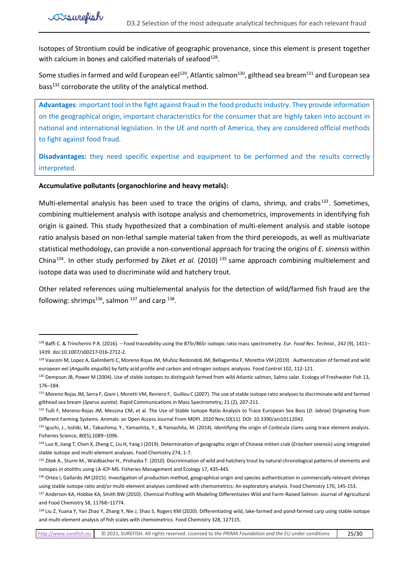Isotopes of Strontium could be indicative of geographic provenance, since this element is present together with calcium in bones and calcified materials of seafood<sup>128</sup>.

Some studies in farmed and wild European eel<sup>129</sup>, Atlantic salmon<sup>130</sup>, gilthead sea bream<sup>131</sup> and European sea bass<sup>132</sup> corroborate the utility of the analytical method.

**Advantages**: important tool in the fight against fraud in the food products industry. They provide information on the geographical origin, important characteristics for the consumer that are highly taken into account in national and international legislation. In the UE and north of America, they are considered official methods to fight against food fraud.

**Disadvantages:** they need specific expertise and equipment to be performed and the results correctly interpreted.

#### **Accumulative pollutants (organochlorine and heavy metals):**

Eisurefish

Multi-elemental analysis has been used to trace the origins of clams, shrimp, and crabs<sup>133</sup>. Sometimes, combining multielement analysis with isotope analysis and chemometrics, improvements in identifying fish origin is gained. This study hypothesized that a combination of multi-element analysis and stable isotope ratio analysis based on non-lethal sample material taken from the third pereiopods, as well as multivariate statistical methodology, can provide a non-conventional approach for tracing the origins of *E. sinensis* within China<sup>134</sup>. In other study performed by Ziket *et al.* (2010) <sup>135</sup> same approach combining multielement and isotope data was used to discriminate wild and hatchery trout.

Other related references using multielemental analysis for the detection of wild/farmed fish fraud are the following: shrimps $^{136}$ , salmon  $^{137}$  and carp  $^{138}$ .

<sup>128</sup> Baffi C. & Trincherini P.R. (2016). – Food traceability using the 87Sr/86Sr isotopic ratio mass spectrometry. *Eur. Food Res. Technol.*, 242 (9), 1411– 1439. doi:10.1007/s00217-016-2712-2.

<sup>129</sup> Vasconi M, Lopez A, Galimberti C, Moreno Rojas JM, Muñoz Redondob JM, Bellagamba F, Morettia VM (2019) . Authentication of farmed and wild european eel (*Anguilla anguilla*) by fatty acid profile and carbon and nitrogen isotopic analyses. Food Control 102, 112-121.

<sup>130</sup> Dempson JB, Power M (2004). Use of stable isotopes to distinguish farmed from wild Atlantic salmon, Salmo salar. Ecology of Freshwater Fish 13, 176–184.

<sup>131</sup> Moreno Rojas JM, Serra F, Giani I, Moretti VM, Reniero F, Guillou C (2007). The use of stable isotope ratio analyses to discriminate wild and farmed gilthead sea bream (*Sparus aurata*). Rapid Communications in Mass Spectrometry, 21 (2), 207-211.

<sup>132</sup> Tulli F, Moreno-Rojas JM, Messina CM, et al. The Use of Stable Isotope Ratio Analysis to Trace European Sea Bass (*D. labrax*) Originating from Different Farming Systems. Animals: an Open Access Journal From MDPI. 2020 Nov;10(11). DOI: 10.3390/ani10112042.

<sup>133</sup> Iguchi, J., Isshiki, M., Takashima, Y., Yamashita, Y., & Yamashita, M. (2014). Identifying the origin of Corbicula clams using trace element analysis. Fisheries Science, 80(5),1089–1096.

<sup>134</sup> Luo R, Jiang T, Chen X, Zheng C, Liu H, Yang J (2019). Determination of geographic origin of Chinese mitten crab (*Eriocheir sinensis*) using integrated stable isotope and multi-element analyses. Food Chemistry 274, 1-7.

<sup>135</sup> Zitek A., Sturm M., Waidbacher H., Prohaska T. (2010). Discrimination of wild and hatchery trout by natural chronological patterns of elements and isotopes in otoliths using LA-ICP-MS. Fisheries Management and Ecology 17, 435-445.

<sup>136</sup> Ortea I, Gallardo JM (2015). Investigation of production method, geographical origin and species authentication in commercially relevant shrimps using stable isotope ratio and/or multi-element analyses combined with chemometrics: An exploratory analysis. Food Chemistry 170, 145-153.

<sup>137</sup> Anderson KA, Hobbie KA, Smith BW (2010). Chemical Profiling with Modeling Differentiates Wild and Farm-Raised Salmon. Journal of Agricultural and Food Chemistry 58, 11768–11774.

<sup>138</sup> Liu Z, Yuana Y, Yan Zhao Y, Zhang Y, Nie J, Shao S, Rogers KM (2020). Differentiating wild, lake-farmed and pond-farmed carp using stable isotope and multi-element analysis of fish scales with chemometrics. Food Chemistry 328, 127115.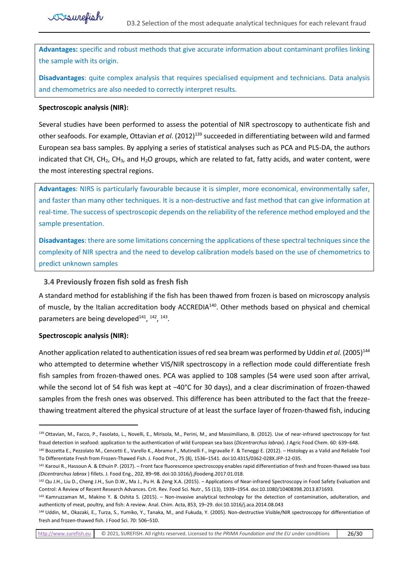**Advantages:** specific and robust methods that give accurate information about contaminant profiles linking the sample with its origin.

**Disadvantages**: quite complex analysis that requires specialised equipment and technicians. Data analysis and chemometrics are also needed to correctly interpret results.

### **Spectroscopic analysis (NIR):**

Several studies have been performed to assess the potential of NIR spectroscopy to authenticate fish and other seafoods. For example, Ottavian *et al.* (2012)<sup>139</sup> succeeded in differentiating between wild and farmed European sea bass samples. By applying a series of statistical analyses such as PCA and PLS-DA, the authors indicated that CH, CH<sub>2</sub>, CH<sub>3</sub>, and H<sub>2</sub>O groups, which are related to fat, fatty acids, and water content, were the most interesting spectral regions.

**Advantages**: NIRS is particularly favourable because it is simpler, more economical, environmentally safer, and faster than many other techniques. It is a non-destructive and fast method that can give information at real-time. The success of spectroscopic depends on the reliability of the reference method employed and the sample presentation.

**Disadvantages**: there are some limitations concerning the applications of these spectral techniques since the complexity of NIR spectra and the need to develop calibration models based on the use of chemometrics to predict unknown samples

# <span id="page-25-0"></span>**3.4 Previously frozen fish sold as fresh fish**

A standard method for establishing if the fish has been thawed from frozen is based on microscopy analysis of muscle, by the Italian accreditation body ACCREDIA<sup>140</sup>. Other methods based on physical and chemical parameters are being developed<sup>141</sup>, <sup>142</sup>, <sup>143</sup>.

# **Spectroscopic analysis (NIR):**

Another application related to authentication issues of red sea bream was performed by Uddin *et al.* (2005)<sup>144</sup> who attempted to determine whether VIS/NIR spectroscopy in a reflection mode could differentiate fresh fish samples from frozen-thawed ones. PCA was applied to 108 samples (54 were used soon after arrival, while the second lot of 54 fish was kept at −40°C for 30 days), and a clear discrimination of frozen-thawed samples from the fresh ones was observed. This difference has been attributed to the fact that the freezethawing treatment altered the physical structure of at least the surface layer of frozen-thawed fish, inducing

[http://www.surefish.eu](http://www.surefish.eu/) © 2021, SUREFISH. All rights reserved. Licensed to *the PRIMA Foundation and the EU* under conditions 26/30

<sup>139</sup> Ottavian, M., Facco, P., Fasolato, L., Novelli, E., Mirisola, M., Perini, M., and Massimiliano, B. (2012). Use of near-infrared spectroscopy for fast fraud detection in seafood: application to the authentication of wild European sea bass (*Dicentrarchus labrax*). J Agric Food Chem. 60: 639−648.

<sup>140</sup> Bozzetta E., Pezzolato M., Cencetti E., Varello K., Abramo F., Mutinelli F., Ingravalle F. & Teneggi E. (2012). – Histology as a Valid and Reliable Tool To Differentiate Fresh from Frozen-Thawed Fish. J. Food Prot., 75 (8), 1536–1541. doi:10.4315/0362-028X.JFP-12-035.

<sup>&</sup>lt;sup>141</sup> Karoui R., Hassoun A. & Ethuin P. (2017). – Front face fluorescence spectroscopy enables rapid differentiation of fresh and frozen-thawed sea bass *(Dicentrarchus labrax* ) fillets. J. Food Eng., 202, 89–98. doi:10.1016/j.jfoodeng.2017.01.018.

<sup>142</sup> Qu J.H., Liu D., Cheng J.H., Sun D.W., Ma J., Pu H. & Zeng X.A. (2015). - Applications of Near-infrared Spectroscopy in Food Safety Evaluation and Control: A Review of Recent Research Advances. Crit. Rev. Food Sci. Nutr., 55 (13), 1939–1954. doi:10.1080/10408398.2013.871693.

<sup>143</sup> Kamruzzaman M., Makino Y. & Oshita S. (2015). – Non-invasive analytical technology for the detection of contamination, adulteration, and authenticity of meat, poultry, and fish: A review. Anal. Chim. Acta, 853, 19–29. doi:10.1016/j.aca.2014.08.043

<sup>144</sup> Uddin, M., Okazaki, E., Turza, S., Yumiko, Y., Tanaka, M., and Fukuda, Y. (2005). Non-destructive Visible/NIR spectroscopy for differentiation of fresh and frozen-thawed fish. J Food Sci. 70: 506–510.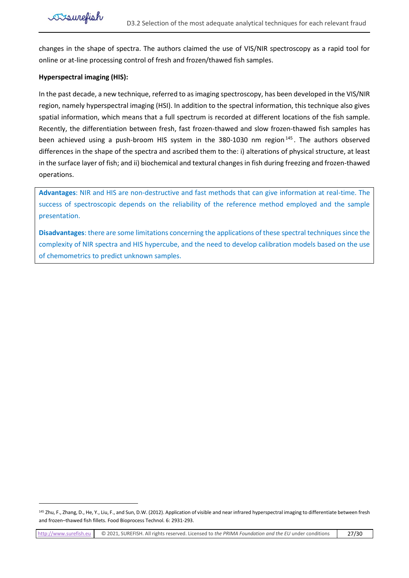changes in the shape of spectra. The authors claimed the use of VIS/NIR spectroscopy as a rapid tool for online or at-line processing control of fresh and frozen/thawed fish samples.

### **Hyperspectral imaging (HIS):**

In the past decade, a new technique, referred to as imaging spectroscopy, has been developed in the VIS/NIR region, namely hyperspectral imaging (HSI). In addition to the spectral information, this technique also gives spatial information, which means that a full spectrum is recorded at different locations of the fish sample. Recently, the differentiation between fresh, fast frozen-thawed and slow frozen-thawed fish samples has been achieved using a push-broom HIS system in the 380-1030 nm region<sup>145</sup>. The authors observed differences in the shape of the spectra and ascribed them to the: i) alterations of physical structure, at least in the surface layer of fish; and ii) biochemical and textural changes in fish during freezing and frozen-thawed operations.

**Advantages**: NIR and HIS are non-destructive and fast methods that can give information at real-time. The success of spectroscopic depends on the reliability of the reference method employed and the sample presentation.

**Disadvantages**: there are some limitations concerning the applications of these spectral techniques since the complexity of NIR spectra and HIS hypercube, and the need to develop calibration models based on the use of chemometrics to predict unknown samples.

<sup>145</sup> Zhu, F., Zhang, D., He, Y., Liu, F., and Sun, D.W. (2012). Application of visible and near infrared hyperspectral imaging to differentiate between fresh and frozen–thawed fish fillets. Food Bioprocess Technol. 6: 2931-293.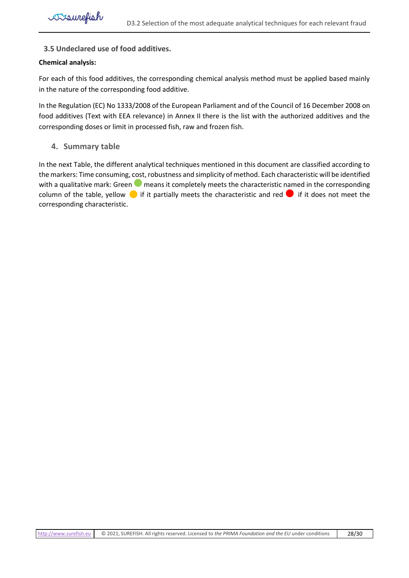# <span id="page-27-0"></span>**3.5 Undeclared use of food additives.**

### **Chemical analysis:**

For each of this food additives, the corresponding chemical analysis method must be applied based mainly in the nature of the corresponding food additive.

In the Regulation (EC) No 1333/2008 of the European Parliament and of the Council of 16 December 2008 on food additives (Text with EEA relevance) in Annex II there is the list with the authorized additives and the corresponding doses or limit in processed fish, raw and frozen fish.

# <span id="page-27-1"></span>**4. Summary table**

In the next Table, the different analytical techniques mentioned in this document are classified according to the markers: Time consuming, cost, robustness and simplicity of method. Each characteristic will be identified with a qualitative mark: Green  $\bullet$  means it completely meets the characteristic named in the corresponding column of the table, yellow  $\bigcirc$  if it partially meets the characteristic and red  $\bigcirc$  if it does not meet the corresponding characteristic.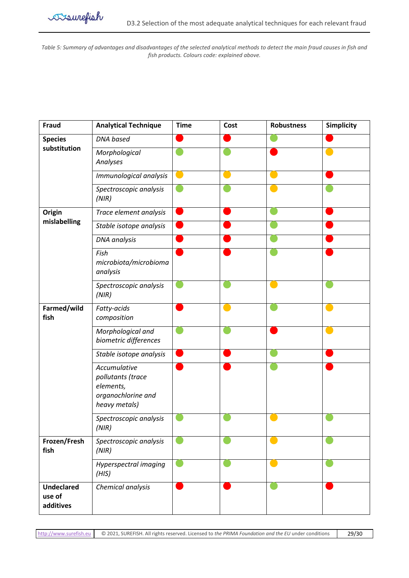

<span id="page-28-0"></span>*Table 5: Summary of advantages and disadvantages of the selected analytical methods to detect the main fraud causes in fish and fish products. Colours code: explained above.*

| <b>Fraud</b>                             | <b>Analytical Technique</b>                                                           | <b>Time</b> | Cost | <b>Robustness</b> | <b>Simplicity</b> |
|------------------------------------------|---------------------------------------------------------------------------------------|-------------|------|-------------------|-------------------|
| <b>Species</b>                           | <b>DNA</b> based                                                                      |             |      |                   |                   |
| substitution                             | Morphological<br>Analyses                                                             |             |      |                   |                   |
|                                          | Immunological analysis                                                                |             |      |                   |                   |
|                                          | Spectroscopic analysis<br>(NIR)                                                       |             |      |                   |                   |
| Origin                                   | Trace element analysis                                                                |             |      |                   |                   |
| mislabelling                             | Stable isotope analysis                                                               |             |      |                   |                   |
|                                          | <b>DNA</b> analysis                                                                   |             |      |                   |                   |
|                                          | Fish<br>microbiota/microbioma<br>analysis                                             |             |      |                   |                   |
|                                          | Spectroscopic analysis<br>(NIR)                                                       |             |      |                   |                   |
| Farmed/wild<br>fish                      | Fatty-acids<br>composition                                                            |             |      |                   |                   |
|                                          | Morphological and<br>biometric differences                                            |             |      |                   |                   |
|                                          | Stable isotope analysis                                                               |             |      |                   |                   |
|                                          | Accumulative<br>pollutants (trace<br>elements,<br>organochlorine and<br>heavy metals) |             |      |                   |                   |
|                                          | Spectroscopic analysis<br>(NIR)                                                       |             |      |                   |                   |
| Frozen/Fresh<br>fish                     | Spectroscopic analysis<br>(NIR)                                                       |             |      |                   |                   |
|                                          | Hyperspectral imaging<br>(HIS)                                                        |             |      |                   |                   |
| <b>Undeclared</b><br>use of<br>additives | Chemical analysis                                                                     |             |      |                   |                   |

|  | http://www.surefish.eu   © 2021, SUREFISH. All rights reserved. Licensed to the PRIMA Foundation and the EU under conditions | 29/30 |
|--|------------------------------------------------------------------------------------------------------------------------------|-------|
|--|------------------------------------------------------------------------------------------------------------------------------|-------|